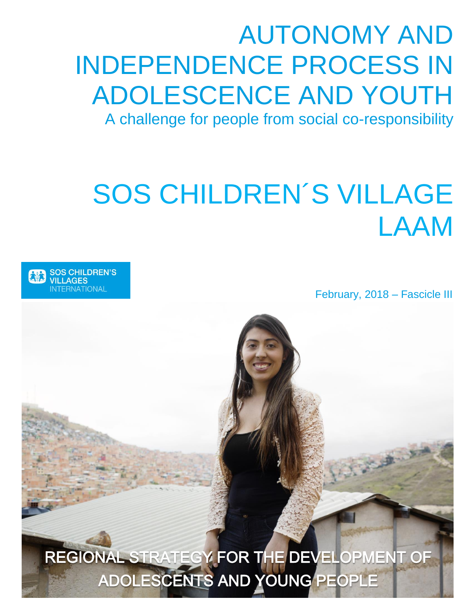# AUTONOMY AND INDEPENDENCE PROCESS IN ADOLESCENCE AND YOUTH A challenge for people from social co-responsibility

# SOS CHILDREN´S VILLAGE LAAM



February, 2018 – Fascicle III

REGIONAL STRATEGY FOR THE DEVELOPMENT OF ADOLESCENTS AND YOUNG PEOPLE 129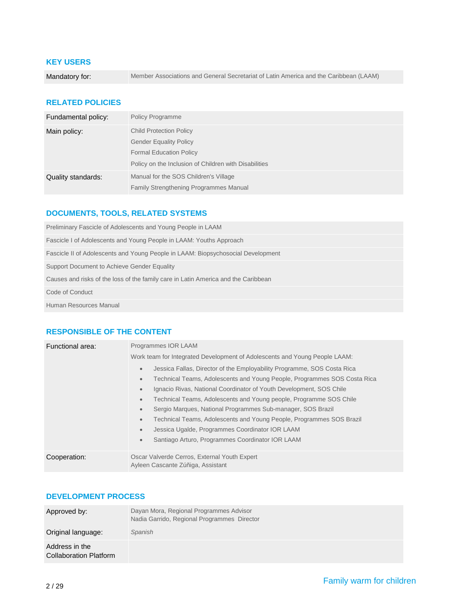### **KEY USERS**

Mandatory for: Member Associations and General Secretariat of Latin America and the Caribbean (LAAM)

### **RELATED POLICIES**

| Fundamental policy: | <b>Policy Programme</b>                               |
|---------------------|-------------------------------------------------------|
| Main policy:        | <b>Child Protection Policy</b>                        |
|                     | <b>Gender Equality Policy</b>                         |
|                     | <b>Formal Education Policy</b>                        |
|                     | Policy on the Inclusion of Children with Disabilities |
| Quality standards:  | Manual for the SOS Children's Village                 |
|                     | <b>Family Strengthening Programmes Manual</b>         |

### **DOCUMENTS, TOOLS, RELATED SYSTEMS**

| Preliminary Fascicle of Adolescents and Young People in LAAM                       |
|------------------------------------------------------------------------------------|
| Fascicle I of Adolescents and Young People in LAAM: Youths Approach                |
| Fascicle II of Adolescents and Young People in LAAM: Biopsychosocial Development   |
| Support Document to Achieve Gender Equality                                        |
| Causes and risks of the loss of the family care in Latin America and the Caribbean |
| Code of Conduct                                                                    |
| Human Resources Manual                                                             |

### **RESPONSIBLE OF THE CONTENT**

| Functional area: | Programmes IOR LAAM                                                                                                                                                                                       |
|------------------|-----------------------------------------------------------------------------------------------------------------------------------------------------------------------------------------------------------|
|                  | Work team for Integrated Development of Adolescents and Young People LAAM:                                                                                                                                |
|                  | Jessica Fallas, Director of the Employability Programme, SOS Costa Rica<br>$\qquad \qquad \bullet$<br>Technical Teams, Adolescents and Young People, Programmes SOS Costa Rica<br>$\qquad \qquad \bullet$ |
|                  | Ignacio Rivas, National Coordinator of Youth Development, SOS Chile<br>$\qquad \qquad \bullet$                                                                                                            |
|                  | Technical Teams, Adolescents and Young people, Programme SOS Chile<br>$\qquad \qquad \bullet$                                                                                                             |
|                  | Sergio Marques, National Programmes Sub-manager, SOS Brazil<br>$\qquad \qquad \bullet$                                                                                                                    |
|                  | Technical Teams, Adolescents and Young People, Programmes SOS Brazil<br>$\qquad \qquad \bullet$                                                                                                           |
|                  | Jessica Ugalde, Programmes Coordinator IOR LAAM<br>$\bullet$                                                                                                                                              |
|                  | Santiago Arturo, Programmes Coordinator IOR LAAM<br>$\qquad \qquad \bullet$                                                                                                                               |
| Cooperation:     | Oscar Valverde Cerros, External Youth Expert<br>Ayleen Cascante Zúñiga, Assistant                                                                                                                         |

### **DEVELOPMENT PROCESS**

| Approved by:                             | Dayan Mora, Regional Programmes Advisor<br>Nadia Garrido, Regional Programmes Director |
|------------------------------------------|----------------------------------------------------------------------------------------|
| Original language:                       | Spanish                                                                                |
| Address in the<br>Collaboration Platform |                                                                                        |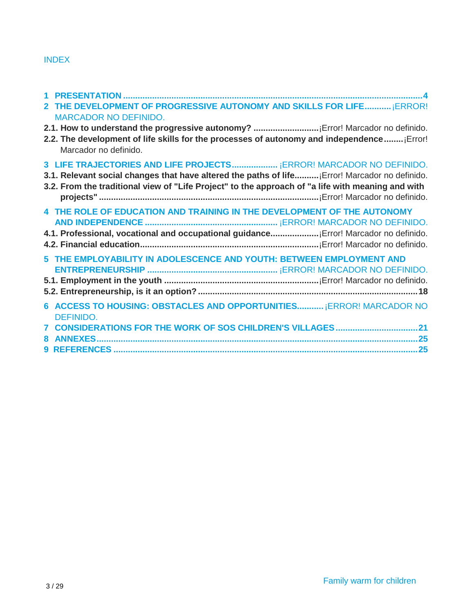# INDEX

| 2 THE DEVELOPMENT OF PROGRESSIVE AUTONOMY AND SKILLS FOR LIFE ¡ERROR!                                              |
|--------------------------------------------------------------------------------------------------------------------|
| <b>MARCADOR NO DEFINIDO.</b>                                                                                       |
|                                                                                                                    |
| 2.2. The development of life skills for the processes of autonomy and independence Error!<br>Marcador no definido. |
| 3 LIFE TRAJECTORIES AND LIFE PROJECTS ¡ERROR! MARCADOR NO DEFINIDO.                                                |
| 3.1. Relevant social changes that have altered the paths of life [Error! Marcador no definido.                     |
| 3.2. From the traditional view of "Life Project" to the approach of "a life with meaning and with                  |
|                                                                                                                    |
| 4 THE ROLE OF EDUCATION AND TRAINING IN THE DEVELOPMENT OF THE AUTONOMY                                            |
|                                                                                                                    |
| 4.1. Professional, vocational and occupational guidance [Error! Marcador no definido.                              |
|                                                                                                                    |
| 5 THE EMPLOYABILITY IN ADOLESCENCE AND YOUTH: BETWEEN EMPLOYMENT AND                                               |
|                                                                                                                    |
|                                                                                                                    |
|                                                                                                                    |
| 6 ACCESS TO HOUSING: OBSTACLES AND OPPORTUNITIES ¡ERROR! MARCADOR NO                                               |
| <b>DEFINIDO.</b>                                                                                                   |
| <b>CONSIDERATIONS FOR THE WORK OF SOS CHILDREN'S VILLAGES 21</b>                                                   |
|                                                                                                                    |
|                                                                                                                    |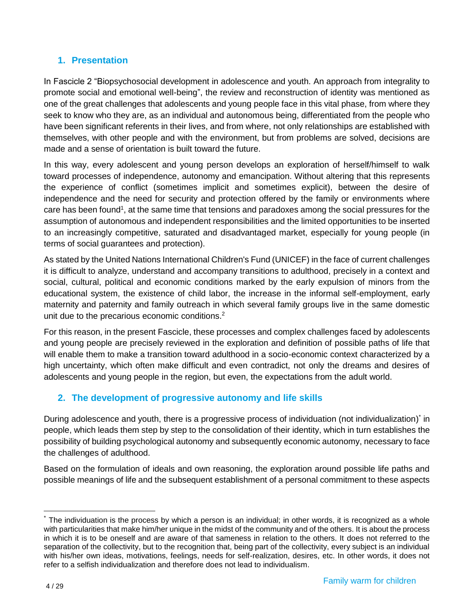# <span id="page-3-0"></span>**1. Presentation**

In Fascicle 2 "Biopsychosocial development in adolescence and youth. An approach from integrality to promote social and emotional well-being", the review and reconstruction of identity was mentioned as one of the great challenges that adolescents and young people face in this vital phase, from where they seek to know who they are, as an individual and autonomous being, differentiated from the people who have been significant referents in their lives, and from where, not only relationships are established with themselves, with other people and with the environment, but from problems are solved, decisions are made and a sense of orientation is built toward the future.

In this way, every adolescent and young person develops an exploration of herself/himself to walk toward processes of independence, autonomy and emancipation. Without altering that this represents the experience of conflict (sometimes implicit and sometimes explicit), between the desire of independence and the need for security and protection offered by the family or environments where care has been found<sup>1</sup>, at the same time that tensions and paradoxes among the social pressures for the assumption of autonomous and independent responsibilities and the limited opportunities to be inserted to an increasingly competitive, saturated and disadvantaged market, especially for young people (in terms of social guarantees and protection).

As stated by the United Nations International Children's Fund (UNICEF) in the face of current challenges it is difficult to analyze, understand and accompany transitions to adulthood, precisely in a context and social, cultural, political and economic conditions marked by the early expulsion of minors from the educational system, the existence of child labor, the increase in the informal self-employment, early maternity and paternity and family outreach in which several family groups live in the same domestic unit due to the precarious economic conditions.<sup>2</sup>

For this reason, in the present Fascicle, these processes and complex challenges faced by adolescents and young people are precisely reviewed in the exploration and definition of possible paths of life that will enable them to make a transition toward adulthood in a socio-economic context characterized by a high uncertainty, which often make difficult and even contradict, not only the dreams and desires of adolescents and young people in the region, but even, the expectations from the adult world.

# **2. The development of progressive autonomy and life skills**

During adolescence and youth, there is a progressive process of individuation (not individualization) in people, which leads them step by step to the consolidation of their identity, which in turn establishes the possibility of building psychological autonomy and subsequently economic autonomy, necessary to face the challenges of adulthood.

Based on the formulation of ideals and own reasoning, the exploration around possible life paths and possible meanings of life and the subsequent establishment of a personal commitment to these aspects

 $\overline{a}$ 

The individuation is the process by which a person is an individual; in other words, it is recognized as a whole with particularities that make him/her unique in the midst of the community and of the others. It is about the process in which it is to be oneself and are aware of that sameness in relation to the others. It does not referred to the separation of the collectivity, but to the recognition that, being part of the collectivity, every subject is an individual with his/her own ideas, motivations, feelings, needs for self-realization, desires, etc. In other words, it does not refer to a selfish individualization and therefore does not lead to individualism.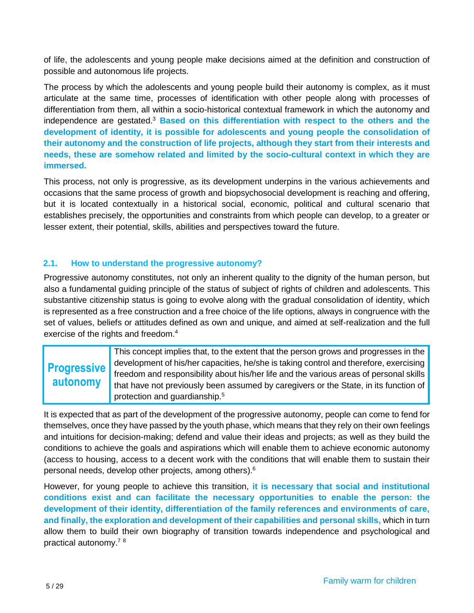of life, the adolescents and young people make decisions aimed at the definition and construction of possible and autonomous life projects.

The process by which the adolescents and young people build their autonomy is complex, as it must articulate at the same time, processes of identification with other people along with processes of differentiation from them, all within a socio-historical contextual framework in which the autonomy and independence are gestated. <sup>3</sup> **Based on this differentiation with respect to the others and the development of identity, it is possible for adolescents and young people the consolidation of their autonomy and the construction of life projects, although they start from their interests and needs, these are somehow related and limited by the socio-cultural context in which they are immersed.**

This process, not only is progressive, as its development underpins in the various achievements and occasions that the same process of growth and biopsychosocial development is reaching and offering, but it is located contextually in a historical social, economic, political and cultural scenario that establishes precisely, the opportunities and constraints from which people can develop, to a greater or lesser extent, their potential, skills, abilities and perspectives toward the future.

### **2.1. How to understand the progressive autonomy?**

Progressive autonomy constitutes, not only an inherent quality to the dignity of the human person, but also a fundamental guiding principle of the status of subject of rights of children and adolescents. This substantive citizenship status is going to evolve along with the gradual consolidation of identity, which is represented as a free construction and a free choice of the life options, always in congruence with the set of values, beliefs or attitudes defined as own and unique, and aimed at self-realization and the full exercise of the rights and freedom.<sup>4</sup>

# **Progressive autonomy**

This concept implies that, to the extent that the person grows and progresses in the development of his/her capacities, he/she is taking control and therefore, exercising freedom and responsibility about his/her life and the various areas of personal skills that have not previously been assumed by caregivers or the State, in its function of protection and guardianship. 5

It is expected that as part of the development of the progressive autonomy, people can come to fend for themselves, once they have passed by the youth phase, which means that they rely on their own feelings and intuitions for decision-making; defend and value their ideas and projects; as well as they build the conditions to achieve the goals and aspirations which will enable them to achieve economic autonomy (access to housing, access to a decent work with the conditions that will enable them to sustain their personal needs, develop other projects, among others).<sup>6</sup>

However, for young people to achieve this transition, **it is necessary that social and institutional conditions exist and can facilitate the necessary opportunities to enable the person: the development of their identity, differentiation of the family references and environments of care, and finally, the exploration and development of their capabilities and personal skills,** which in turn allow them to build their own biography of transition towards independence and psychological and practical autonomy.<sup>78</sup>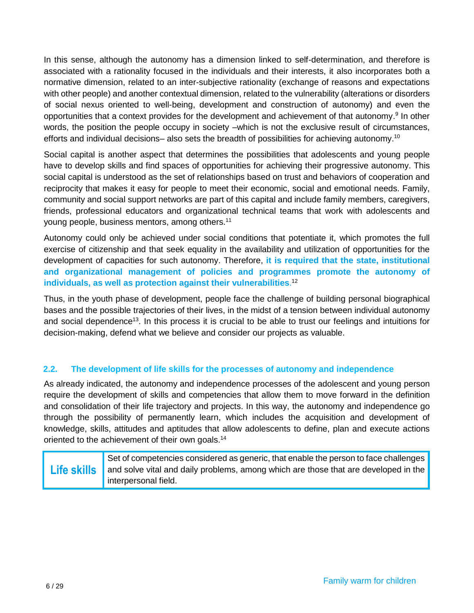In this sense, although the autonomy has a dimension linked to self-determination, and therefore is associated with a rationality focused in the individuals and their interests, it also incorporates both a normative dimension, related to an inter-subjective rationality (exchange of reasons and expectations with other people) and another contextual dimension, related to the vulnerability (alterations or disorders of social nexus oriented to well-being, development and construction of autonomy) and even the opportunities that a context provides for the development and achievement of that autonomy.<sup>9</sup> In other words, the position the people occupy in society –which is not the exclusive result of circumstances, efforts and individual decisions– also sets the breadth of possibilities for achieving autonomy.<sup>10</sup>

Social capital is another aspect that determines the possibilities that adolescents and young people have to develop skills and find spaces of opportunities for achieving their progressive autonomy. This social capital is understood as the set of relationships based on trust and behaviors of cooperation and reciprocity that makes it easy for people to meet their economic, social and emotional needs. Family, community and social support networks are part of this capital and include family members, caregivers, friends, professional educators and organizational technical teams that work with adolescents and young people, business mentors, among others.<sup>11</sup>

Autonomy could only be achieved under social conditions that potentiate it, which promotes the full exercise of citizenship and that seek equality in the availability and utilization of opportunities for the development of capacities for such autonomy. Therefore, **it is required that the state, institutional and organizational management of policies and programmes promote the autonomy of individuals, as well as protection against their vulnerabilities**. 12

Thus, in the youth phase of development, people face the challenge of building personal biographical bases and the possible trajectories of their lives, in the midst of a tension between individual autonomy and social dependence<sup>13</sup>. In this process it is crucial to be able to trust our feelings and intuitions for decision-making, defend what we believe and consider our projects as valuable.

### **2.2. The development of life skills for the processes of autonomy and independence**

As already indicated, the autonomy and independence processes of the adolescent and young person require the development of skills and competencies that allow them to move forward in the definition and consolidation of their life trajectory and projects. In this way, the autonomy and independence go through the possibility of permanently learn, which includes the acquisition and development of knowledge, skills, attitudes and aptitudes that allow adolescents to define, plan and execute actions oriented to the achievement of their own goals.<sup>14</sup>

| Set of competencies considered as generic, that enable the person to face challenges                   |
|--------------------------------------------------------------------------------------------------------|
| <b>Life skills</b> and solve vital and daily problems, among which are those that are developed in the |
| interpersonal field.                                                                                   |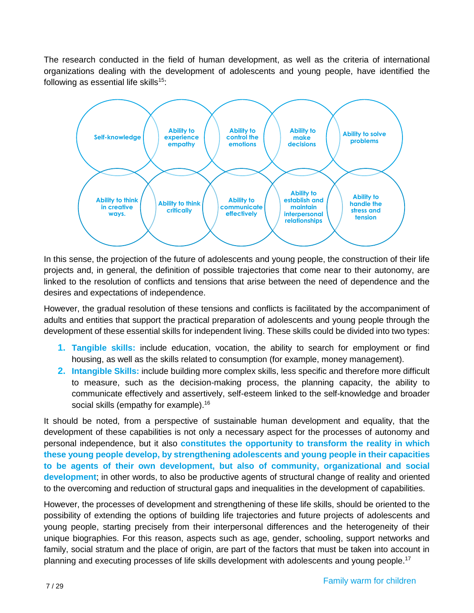The research conducted in the field of human development, as well as the criteria of international organizations dealing with the development of adolescents and young people, have identified the following as essential life skills<sup>15</sup>:



In this sense, the projection of the future of adolescents and young people, the construction of their life projects and, in general, the definition of possible trajectories that come near to their autonomy, are linked to the resolution of conflicts and tensions that arise between the need of dependence and the desires and expectations of independence.

However, the gradual resolution of these tensions and conflicts is facilitated by the accompaniment of adults and entities that support the practical preparation of adolescents and young people through the development of these essential skills for independent living. These skills could be divided into two types:

- **1. Tangible skills:** include education, vocation, the ability to search for employment or find housing, as well as the skills related to consumption (for example, money management).
- **2. Intangible Skills:** include building more complex skills, less specific and therefore more difficult to measure, such as the decision-making process, the planning capacity, the ability to communicate effectively and assertively, self-esteem linked to the self-knowledge and broader social skills (empathy for example).<sup>16</sup>

It should be noted, from a perspective of sustainable human development and equality, that the development of these capabilities is not only a necessary aspect for the processes of autonomy and personal independence, but it also **constitutes the opportunity to transform the reality in which these young people develop, by strengthening adolescents and young people in their capacities to be agents of their own development, but also of community, organizational and social development**; in other words, to also be productive agents of structural change of reality and oriented to the overcoming and reduction of structural gaps and inequalities in the development of capabilities.

However, the processes of development and strengthening of these life skills, should be oriented to the possibility of extending the options of building life trajectories and future projects of adolescents and young people, starting precisely from their interpersonal differences and the heterogeneity of their unique biographies. For this reason, aspects such as age, gender, schooling, support networks and family, social stratum and the place of origin, are part of the factors that must be taken into account in planning and executing processes of life skills development with adolescents and young people.<sup>17</sup>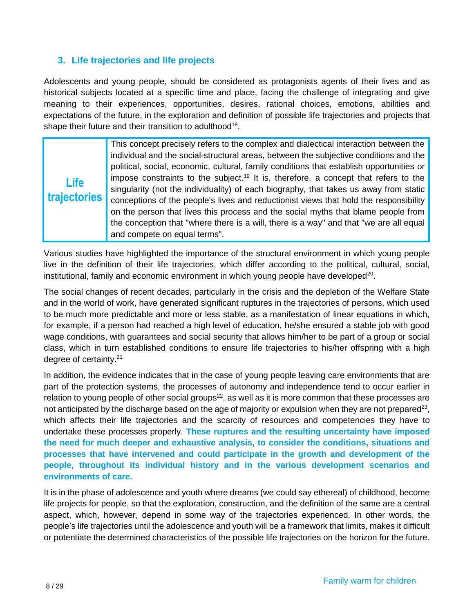# **3. Life trajectories and life projects**

Adolescents and young people, should be considered as protagonists agents of their lives and as historical subjects located at a specific time and place, facing the challenge of integrating and give meaning to their experiences, opportunities, desires, rational choices, emotions, abilities and expectations of the future, in the exploration and definition of possible life trajectories and projects that shape their future and their transition to adulthood<sup>18</sup>.

**Life trajectories** This concept precisely refers to the complex and dialectical interaction between the individual and the social-structural areas, between the subjective conditions and the political, social, economic, cultural, family conditions that establish opportunities or impose constraints to the subject.<sup>19</sup> It is, therefore, a concept that refers to the singularity (not the individuality) of each biography, that takes us away from static conceptions of the people's lives and reductionist views that hold the responsibility on the person that lives this process and the social myths that blame people from the conception that "where there is a will, there is a way" and that "we are all equal and compete on equal terms".

Various studies have highlighted the importance of the structural environment in which young people live in the definition of their life trajectories, which differ according to the political, cultural, social, institutional, family and economic environment in which young people have developed<sup>20</sup>.

The social changes of recent decades, particularly in the crisis and the depletion of the Welfare State and in the world of work, have generated significant ruptures in the trajectories of persons, which used to be much more predictable and more or less stable, as a manifestation of linear equations in which, for example, if a person had reached a high level of education, he/she ensured a stable job with good wage conditions, with guarantees and social security that allows him/her to be part of a group or social class, which in turn established conditions to ensure life trajectories to his/her offspring with a high degree of certainty. 21

In addition, the evidence indicates that in the case of young people leaving care environments that are part of the protection systems, the processes of autonomy and independence tend to occur earlier in relation to young people of other social groups<sup>22</sup>, as well as it is more common that these processes are not anticipated by the discharge based on the age of majority or expulsion when they are not prepared<sup>23</sup>, which affects their life trajectories and the scarcity of resources and competencies they have to undertake these processes properly. **These ruptures and the resulting uncertainty have imposed the need for much deeper and exhaustive analysis, to consider the conditions, situations and processes that have intervened and could participate in the growth and development of the people, throughout its individual history and in the various development scenarios and environments of care.**

It is in the phase of adolescence and youth where dreams (we could say ethereal) of childhood, become life projects for people, so that the exploration, construction, and the definition of the same are a central aspect, which, however, depend in some way of the trajectories experienced. In other words, the people's life trajectories until the adolescence and youth will be a framework that limits, makes it difficult or potentiate the determined characteristics of the possible life trajectories on the horizon for the future.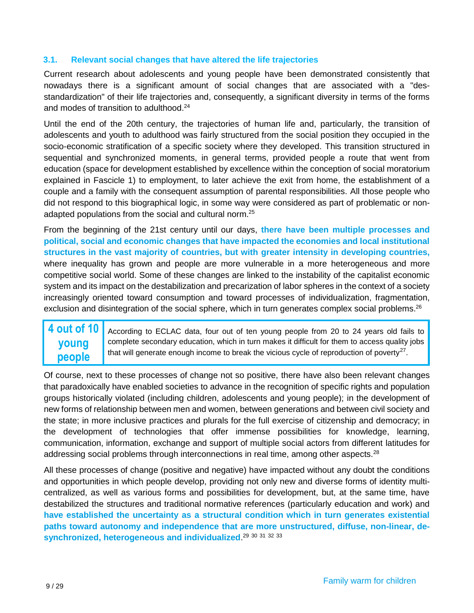### **3.1. Relevant social changes that have altered the life trajectories**

Current research about adolescents and young people have been demonstrated consistently that nowadays there is a significant amount of social changes that are associated with a "desstandardization" of their life trajectories and, consequently, a significant diversity in terms of the forms and modes of transition to adulthood. 24

Until the end of the 20th century, the trajectories of human life and, particularly, the transition of adolescents and youth to adulthood was fairly structured from the social position they occupied in the socio-economic stratification of a specific society where they developed. This transition structured in sequential and synchronized moments, in general terms, provided people a route that went from education (space for development established by excellence within the conception of social moratorium explained in Fascicle 1) to employment, to later achieve the exit from home, the establishment of a couple and a family with the consequent assumption of parental responsibilities. All those people who did not respond to this biographical logic, in some way were considered as part of problematic or nonadapted populations from the social and cultural norm.<sup>25</sup>

From the beginning of the 21st century until our days, **there have been multiple processes and political, social and economic changes that have impacted the economies and local institutional structures in the vast majority of countries, but with greater intensity in developing countries,** where inequality has grown and people are more vulnerable in a more heterogeneous and more competitive social world. Some of these changes are linked to the instability of the capitalist economic system and its impact on the destabilization and precarization of labor spheres in the context of a society increasingly oriented toward consumption and toward processes of individualization, fragmentation, exclusion and disintegration of the social sphere, which in turn generates complex social problems.<sup>26</sup>

#### **4 out of 10 young people** According to ECLAC data, four out of ten young people from 20 to 24 years old fails to complete secondary education, which in turn makes it difficult for them to access quality jobs that will generate enough income to break the vicious cycle of reproduction of poverty<sup>27</sup>.

Of course, next to these processes of change not so positive, there have also been relevant changes that paradoxically have enabled societies to advance in the recognition of specific rights and population groups historically violated (including children, adolescents and young people); in the development of new forms of relationship between men and women, between generations and between civil society and the state; in more inclusive practices and plurals for the full exercise of citizenship and democracy; in the development of technologies that offer immense possibilities for knowledge, learning, communication, information, exchange and support of multiple social actors from different latitudes for addressing social problems through interconnections in real time, among other aspects. $^{28}$ 

All these processes of change (positive and negative) have impacted without any doubt the conditions and opportunities in which people develop, providing not only new and diverse forms of identity multicentralized, as well as various forms and possibilities for development, but, at the same time, have destabilized the structures and traditional normative references (particularly education and work) and **have established the uncertainty as a structural condition which in turn generates existential paths toward autonomy and independence that are more unstructured, diffuse, non-linear, desynchronized, heterogeneous and individualized**. 29 30 31 32 33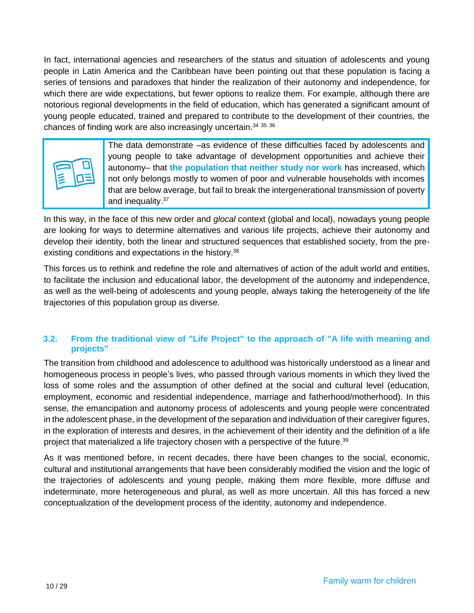In fact, international agencies and researchers of the status and situation of adolescents and young people in Latin America and the Caribbean have been pointing out that these population is facing a series of tensions and paradoxes that hinder the realization of their autonomy and independence, for which there are wide expectations, but fewer options to realize them. For example, although there are notorious regional developments in the field of education, which has generated a significant amount of young people educated, trained and prepared to contribute to the development of their countries, the chances of finding work are also increasingly uncertain.<sup>34 35</sup> <sup>36</sup>



The data demonstrate –as evidence of these difficulties faced by adolescents and young people to take advantage of development opportunities and achieve their autonomy– that **the population that neither study nor work** has increased, which not only belongs mostly to women of poor and vulnerable households with incomes that are below average, but fail to break the intergenerational transmission of poverty and inequality.<sup>37</sup>

In this way, in the face of this new order and *glocal* context (global and local), nowadays young people are looking for ways to determine alternatives and various life projects, achieve their autonomy and develop their identity, both the linear and structured sequences that established society, from the preexisting conditions and expectations in the history.<sup>38</sup>

This forces us to rethink and redefine the role and alternatives of action of the adult world and entities, to facilitate the inclusion and educational labor, the development of the autonomy and independence, as well as the well-being of adolescents and young people, always taking the heterogeneity of the life trajectories of this population group as diverse.

### **3.2. From the traditional view of "Life Project" to the approach of "A life with meaning and projects"**

The transition from childhood and adolescence to adulthood was historically understood as a linear and homogeneous process in people's lives, who passed through various moments in which they lived the loss of some roles and the assumption of other defined at the social and cultural level (education, employment, economic and residential independence, marriage and fatherhood/motherhood). In this sense, the emancipation and autonomy process of adolescents and young people were concentrated in the adolescent phase, in the development of the separation and individuation of their caregiver figures, in the exploration of interests and desires, in the achievement of their identity and the definition of a life project that materialized a life trajectory chosen with a perspective of the future. 39

As it was mentioned before, in recent decades, there have been changes to the social, economic, cultural and institutional arrangements that have been considerably modified the vision and the logic of the trajectories of adolescents and young people, making them more flexible, more diffuse and indeterminate, more heterogeneous and plural, as well as more uncertain. All this has forced a new conceptualization of the development process of the identity, autonomy and independence.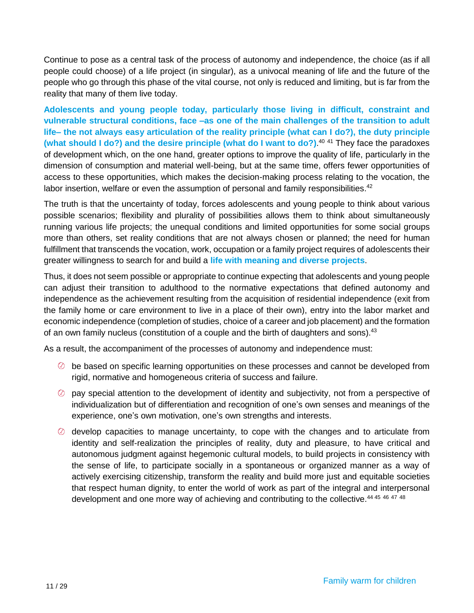Continue to pose as a central task of the process of autonomy and independence, the choice (as if all people could choose) of a life project (in singular), as a univocal meaning of life and the future of the people who go through this phase of the vital course, not only is reduced and limiting, but is far from the reality that many of them live today.

**Adolescents and young people today, particularly those living in difficult, constraint and vulnerable structural conditions, face –as one of the main challenges of the transition to adult life– the not always easy articulation of the reality principle (what can I do?), the duty principle (what should I do?) and the desire principle (what do I want to do?)**. <sup>40</sup> <sup>41</sup> They face the paradoxes of development which, on the one hand, greater options to improve the quality of life, particularly in the dimension of consumption and material well-being, but at the same time, offers fewer opportunities of access to these opportunities, which makes the decision-making process relating to the vocation, the labor insertion, welfare or even the assumption of personal and family responsibilities.<sup>42</sup>

The truth is that the uncertainty of today, forces adolescents and young people to think about various possible scenarios; flexibility and plurality of possibilities allows them to think about simultaneously running various life projects; the unequal conditions and limited opportunities for some social groups more than others, set reality conditions that are not always chosen or planned; the need for human fulfillment that transcends the vocation, work, occupation or a family project requires of adolescents their greater willingness to search for and build a **life with meaning and diverse projects**.

Thus, it does not seem possible or appropriate to continue expecting that adolescents and young people can adjust their transition to adulthood to the normative expectations that defined autonomy and independence as the achievement resulting from the acquisition of residential independence (exit from the family home or care environment to live in a place of their own), entry into the labor market and economic independence (completion of studies, choice of a career and job placement) and the formation of an own family nucleus (constitution of a couple and the birth of daughters and sons).<sup>43</sup>

As a result, the accompaniment of the processes of autonomy and independence must:

- be based on specific learning opportunities on these processes and cannot be developed from rigid, normative and homogeneous criteria of success and failure.
- $\heartsuit$  pay special attention to the development of identity and subjectivity, not from a perspective of individualization but of differentiation and recognition of one's own senses and meanings of the experience, one's own motivation, one's own strengths and interests.
- $\oslash$  develop capacities to manage uncertainty, to cope with the changes and to articulate from identity and self-realization the principles of reality, duty and pleasure, to have critical and autonomous judgment against hegemonic cultural models, to build projects in consistency with the sense of life, to participate socially in a spontaneous or organized manner as a way of actively exercising citizenship, transform the reality and build more just and equitable societies that respect human dignity, to enter the world of work as part of the integral and interpersonal development and one more way of achieving and contributing to the collective.<sup>44 45 46 47 48</sup>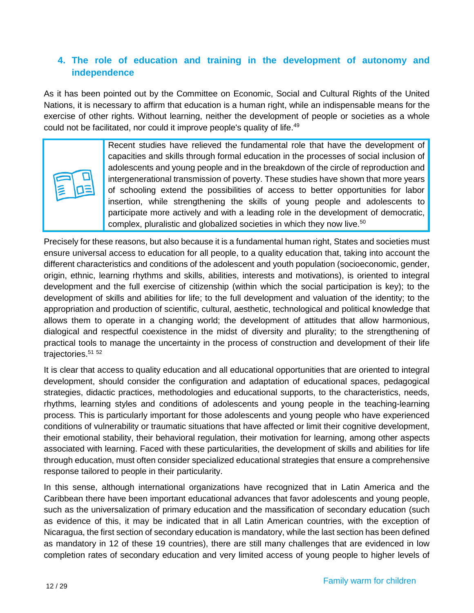# **4. The role of education and training in the development of autonomy and independence**

As it has been pointed out by the Committee on Economic, Social and Cultural Rights of the United Nations, it is necessary to affirm that education is a human right, while an indispensable means for the exercise of other rights. Without learning, neither the development of people or societies as a whole could not be facilitated, nor could it improve people's quality of life.<sup>49</sup>



Recent studies have relieved the fundamental role that have the development of capacities and skills through formal education in the processes of social inclusion of adolescents and young people and in the breakdown of the circle of reproduction and intergenerational transmission of poverty. These studies have shown that more years of schooling extend the possibilities of access to better opportunities for labor insertion, while strengthening the skills of young people and adolescents to participate more actively and with a leading role in the development of democratic, complex, pluralistic and globalized societies in which they now live. 50

Precisely for these reasons, but also because it is a fundamental human right, States and societies must ensure universal access to education for all people, to a quality education that, taking into account the different characteristics and conditions of the adolescent and youth population (socioeconomic, gender, origin, ethnic, learning rhythms and skills, abilities, interests and motivations), is oriented to integral development and the full exercise of citizenship (within which the social participation is key); to the development of skills and abilities for life; to the full development and valuation of the identity; to the appropriation and production of scientific, cultural, aesthetic, technological and political knowledge that allows them to operate in a changing world; the development of attitudes that allow harmonious, dialogical and respectful coexistence in the midst of diversity and plurality; to the strengthening of practical tools to manage the uncertainty in the process of construction and development of their life trajectories. 51 52

It is clear that access to quality education and all educational opportunities that are oriented to integral development, should consider the configuration and adaptation of educational spaces, pedagogical strategies, didactic practices, methodologies and educational supports, to the characteristics, needs, rhythms, learning styles and conditions of adolescents and young people in the teaching-learning process. This is particularly important for those adolescents and young people who have experienced conditions of vulnerability or traumatic situations that have affected or limit their cognitive development, their emotional stability, their behavioral regulation, their motivation for learning, among other aspects associated with learning. Faced with these particularities, the development of skills and abilities for life through education, must often consider specialized educational strategies that ensure a comprehensive response tailored to people in their particularity.

In this sense, although international organizations have recognized that in Latin America and the Caribbean there have been important educational advances that favor adolescents and young people, such as the universalization of primary education and the massification of secondary education (such as evidence of this, it may be indicated that in all Latin American countries, with the exception of Nicaragua, the first section of secondary education is mandatory, while the last section has been defined as mandatory in 12 of these 19 countries), there are still many challenges that are evidenced in low completion rates of secondary education and very limited access of young people to higher levels of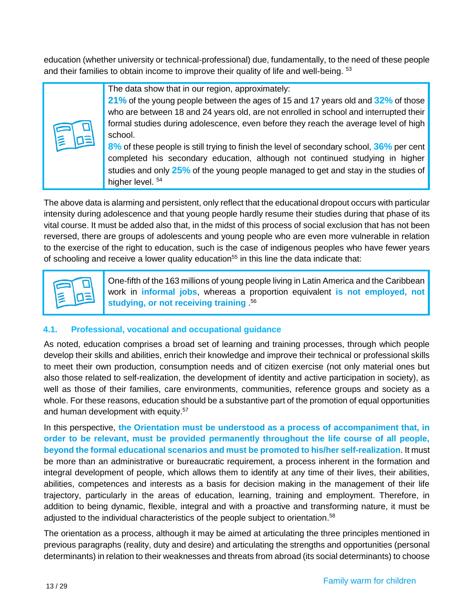education (whether university or technical-professional) due, fundamentally, to the need of these people and their families to obtain income to improve their quality of life and well-being. <sup>53</sup>

| The data show that in our region, approximately:<br>21% of the young people between the ages of 15 and 17 years old and 32% of those<br>who are between 18 and 24 years old, are not enrolled in school and interrupted their<br>formal studies during adolescence, even before they reach the average level of high<br>school. |
|---------------------------------------------------------------------------------------------------------------------------------------------------------------------------------------------------------------------------------------------------------------------------------------------------------------------------------|
| 8% of these people is still trying to finish the level of secondary school, 36% per cent<br>completed his secondary education, although not continued studying in higher<br>studies and only 25% of the young people managed to get and stay in the studies of<br>higher level. 54                                              |

The above data is alarming and persistent, only reflect that the educational dropout occurs with particular intensity during adolescence and that young people hardly resume their studies during that phase of its vital course. It must be added also that, in the midst of this process of social exclusion that has not been reversed, there are groups of adolescents and young people who are even more vulnerable in relation to the exercise of the right to education, such is the case of indigenous peoples who have fewer years of schooling and receive a lower quality education<sup>55</sup> in this line the data indicate that:



One-fifth of the 163 millions of young people living in Latin America and the Caribbean work in **informal jobs**, whereas a proportion equivalent **is not employed, not studying, or not receiving training** . 56

# **4.1. Professional, vocational and occupational guidance**

As noted, education comprises a broad set of learning and training processes, through which people develop their skills and abilities, enrich their knowledge and improve their technical or professional skills to meet their own production, consumption needs and of citizen exercise (not only material ones but also those related to self-realization, the development of identity and active participation in society), as well as those of their families, care environments, communities, reference groups and society as a whole. For these reasons, education should be a substantive part of the promotion of equal opportunities and human development with equity.<sup>57</sup>

In this perspective, **the Orientation must be understood as a process of accompaniment that, in order to be relevant, must be provided permanently throughout the life course of all people, beyond the formal educational scenarios and must be promoted to his/her self-realization**. It must be more than an administrative or bureaucratic requirement, a process inherent in the formation and integral development of people, which allows them to identify at any time of their lives, their abilities, abilities, competences and interests as a basis for decision making in the management of their life trajectory, particularly in the areas of education, learning, training and employment. Therefore, in addition to being dynamic, flexible, integral and with a proactive and transforming nature, it must be adjusted to the individual characteristics of the people subject to orientation. 58

The orientation as a process, although it may be aimed at articulating the three principles mentioned in previous paragraphs (reality, duty and desire) and articulating the strengths and opportunities (personal determinants) in relation to their weaknesses and threats from abroad (its social determinants) to choose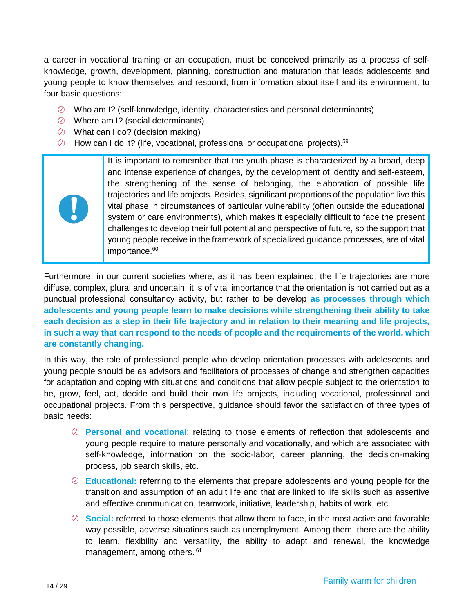a career in vocational training or an occupation, must be conceived primarily as a process of selfknowledge, growth, development, planning, construction and maturation that leads adolescents and young people to know themselves and respond, from information about itself and its environment, to four basic questions:

- $\oslash$  Who am I? (self-knowledge, identity, characteristics and personal determinants)
- Where am I? (social determinants)
- What can I do? (decision making)
- How can I do it? (life, vocational, professional or occupational projects).<sup>59</sup>

It is important to remember that the youth phase is characterized by a broad, deep and intense experience of changes, by the development of identity and self-esteem, the strengthening of the sense of belonging, the elaboration of possible life trajectories and life projects. Besides, significant proportions of the population live this vital phase in circumstances of particular vulnerability (often outside the educational system or care environments), which makes it especially difficult to face the present challenges to develop their full potential and perspective of future, so the support that young people receive in the framework of specialized guidance processes, are of vital importance. 60

Furthermore, in our current societies where, as it has been explained, the life trajectories are more diffuse, complex, plural and uncertain, it is of vital importance that the orientation is not carried out as a punctual professional consultancy activity, but rather to be develop **as processes through which adolescents and young people learn to make decisions while strengthening their ability to take each decision as a step in their life trajectory and in relation to their meaning and life projects, in such a way that can respond to the needs of people and the requirements of the world, which are constantly changing.**

In this way, the role of professional people who develop orientation processes with adolescents and young people should be as advisors and facilitators of processes of change and strengthen capacities for adaptation and coping with situations and conditions that allow people subject to the orientation to be, grow, feel, act, decide and build their own life projects, including vocational, professional and occupational projects. From this perspective, guidance should favor the satisfaction of three types of basic needs:

- **Personal and vocational**: relating to those elements of reflection that adolescents and young people require to mature personally and vocationally, and which are associated with self-knowledge, information on the socio-labor, career planning, the decision-making process, job search skills, etc.
- **Educational:** referring to the elements that prepare adolescents and young people for the transition and assumption of an adult life and that are linked to life skills such as assertive and effective communication, teamwork, initiative, leadership, habits of work, etc.
- **Social:** referred to those elements that allow them to face, in the most active and favorable way possible, adverse situations such as unemployment. Among them, there are the ability to learn, flexibility and versatility, the ability to adapt and renewal, the knowledge management, among others. 61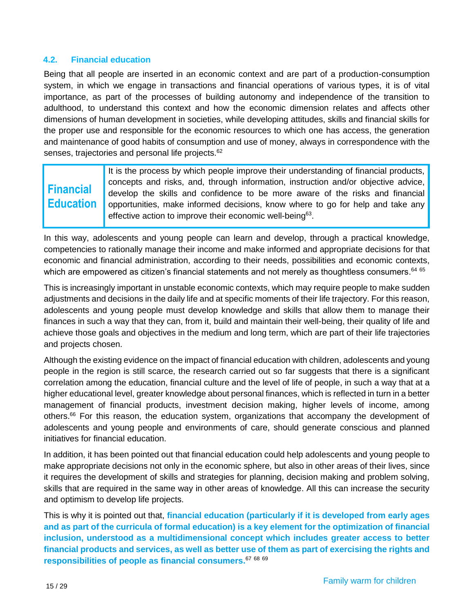### **4.2. Financial education**

Being that all people are inserted in an economic context and are part of a production-consumption system, in which we engage in transactions and financial operations of various types, it is of vital importance, as part of the processes of building autonomy and independence of the transition to adulthood, to understand this context and how the economic dimension relates and affects other dimensions of human development in societies, while developing attitudes, skills and financial skills for the proper use and responsible for the economic resources to which one has access, the generation and maintenance of good habits of consumption and use of money, always in correspondence with the senses, trajectories and personal life projects.<sup>62</sup>

# **Financial Education**

It is the process by which people improve their understanding of financial products, concepts and risks, and, through information, instruction and/or objective advice, develop the skills and confidence to be more aware of the risks and financial opportunities, make informed decisions, know where to go for help and take any effective action to improve their economic well-being<sup>63</sup>.

In this way, adolescents and young people can learn and develop, through a practical knowledge, competencies to rationally manage their income and make informed and appropriate decisions for that economic and financial administration, according to their needs, possibilities and economic contexts, which are empowered as citizen's financial statements and not merely as thoughtless consumers. $^{64\,65}$ 

This is increasingly important in unstable economic contexts, which may require people to make sudden adjustments and decisions in the daily life and at specific moments of their life trajectory. For this reason, adolescents and young people must develop knowledge and skills that allow them to manage their finances in such a way that they can, from it, build and maintain their well-being, their quality of life and achieve those goals and objectives in the medium and long term, which are part of their life trajectories and projects chosen.

Although the existing evidence on the impact of financial education with children, adolescents and young people in the region is still scarce, the research carried out so far suggests that there is a significant correlation among the education, financial culture and the level of life of people, in such a way that at a higher educational level, greater knowledge about personal finances, which is reflected in turn in a better management of financial products, investment decision making, higher levels of income, among others.<sup>66</sup> For this reason, the education system, organizations that accompany the development of adolescents and young people and environments of care, should generate conscious and planned initiatives for financial education.

In addition, it has been pointed out that financial education could help adolescents and young people to make appropriate decisions not only in the economic sphere, but also in other areas of their lives, since it requires the development of skills and strategies for planning, decision making and problem solving, skills that are required in the same way in other areas of knowledge. All this can increase the security and optimism to develop life projects.

This is why it is pointed out that, **financial education (particularly if it is developed from early ages and as part of the curricula of formal education) is a key element for the optimization of financial inclusion, understood as a multidimensional concept which includes greater access to better financial products and services, as well as better use of them as part of exercising the rights and responsibilities of people as financial consumers.** 67 68 69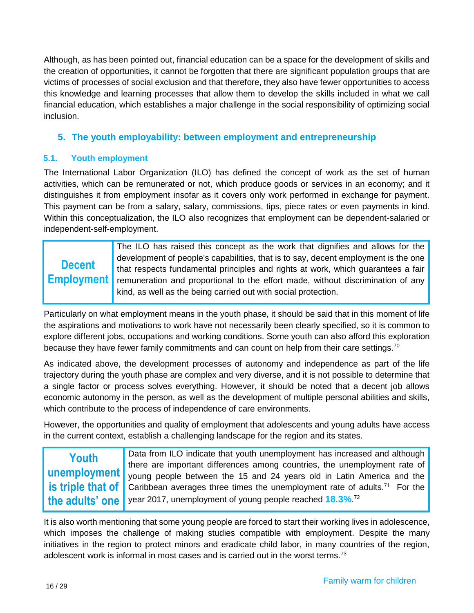Although, as has been pointed out, financial education can be a space for the development of skills and the creation of opportunities, it cannot be forgotten that there are significant population groups that are victims of processes of social exclusion and that therefore, they also have fewer opportunities to access this knowledge and learning processes that allow them to develop the skills included in what we call financial education, which establishes a major challenge in the social responsibility of optimizing social inclusion.

# **5. The youth employability: between employment and entrepreneurship**

### **5.1. Youth employment**

The International Labor Organization (ILO) has defined the concept of work as the set of human activities, which can be remunerated or not, which produce goods or services in an economy; and it distinguishes it from employment insofar as it covers only work performed in exchange for payment. This payment can be from a salary, salary, commissions, tips, piece rates or even payments in kind. Within this conceptualization, the ILO also recognizes that employment can be dependent-salaried or independent-self-employment.

|               | The ILO has raised this concept as the work that dignifies and allows for the                     |
|---------------|---------------------------------------------------------------------------------------------------|
|               | development of people's capabilities, that is to say, decent employment is the one                |
| <b>Decent</b> | that respects fundamental principles and rights at work, which guarantees a fair                  |
|               | <b>Employment</b> remuneration and proportional to the effort made, without discrimination of any |
|               | kind, as well as the being carried out with social protection.                                    |
|               |                                                                                                   |

Particularly on what employment means in the youth phase, it should be said that in this moment of life the aspirations and motivations to work have not necessarily been clearly specified, so it is common to explore different jobs, occupations and working conditions. Some youth can also afford this exploration because they have fewer family commitments and can count on help from their care settings.<sup>70</sup>

As indicated above, the development processes of autonomy and independence as part of the life trajectory during the youth phase are complex and very diverse, and it is not possible to determine that a single factor or process solves everything. However, it should be noted that a decent job allows economic autonomy in the person, as well as the development of multiple personal abilities and skills, which contribute to the process of independence of care environments.

However, the opportunities and quality of employment that adolescents and young adults have access in the current context, establish a challenging landscape for the region and its states.

| Youth | Data from ILO indicate that youth unemployment has increased and although                                      |
|-------|----------------------------------------------------------------------------------------------------------------|
|       | there are important differences among countries, the unemployment rate of                                      |
|       | <b>unemployment</b> voung people between the 15 and 24 years old in Latin America and the                      |
|       | <b>is triple that of</b> Caribbean averages three times the unemployment rate of adults. <sup>71</sup> For the |
|       | the adults' one   year 2017, unemployment of young people reached 18.3%. <sup>72</sup>                         |

It is also worth mentioning that some young people are forced to start their working lives in adolescence, which imposes the challenge of making studies compatible with employment. Despite the many initiatives in the region to protect minors and eradicate child labor, in many countries of the region, adolescent work is informal in most cases and is carried out in the worst terms.<sup>73</sup>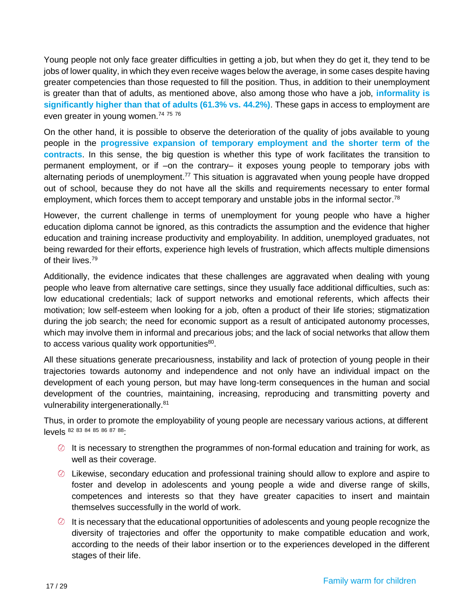Young people not only face greater difficulties in getting a job, but when they do get it, they tend to be jobs of lower quality, in which they even receive wages below the average, in some cases despite having greater competencies than those requested to fill the position. Thus, in addition to their unemployment is greater than that of adults, as mentioned above, also among those who have a job, **informality is significantly higher than that of adults (61.3% vs. 44.2%)**. These gaps in access to employment are even greater in young women.<sup>74 75</sup> 76

On the other hand, it is possible to observe the deterioration of the quality of jobs available to young people in the **progressive expansion of temporary employment and the shorter term of the contracts**. In this sense, the big question is whether this type of work facilitates the transition to permanent employment, or if –on the contrary– it exposes young people to temporary jobs with alternating periods of unemployment.<sup>77</sup> This situation is aggravated when young people have dropped out of school, because they do not have all the skills and requirements necessary to enter formal employment, which forces them to accept temporary and unstable jobs in the informal sector.<sup>78</sup>

However, the current challenge in terms of unemployment for young people who have a higher education diploma cannot be ignored, as this contradicts the assumption and the evidence that higher education and training increase productivity and employability. In addition, unemployed graduates, not being rewarded for their efforts, experience high levels of frustration, which affects multiple dimensions of their lives. 79

Additionally, the evidence indicates that these challenges are aggravated when dealing with young people who leave from alternative care settings, since they usually face additional difficulties, such as: low educational credentials; lack of support networks and emotional referents, which affects their motivation; low self-esteem when looking for a job, often a product of their life stories; stigmatization during the job search; the need for economic support as a result of anticipated autonomy processes, which may involve them in informal and precarious jobs; and the lack of social networks that allow them to access various quality work opportunities<sup>80</sup>.

All these situations generate precariousness, instability and lack of protection of young people in their trajectories towards autonomy and independence and not only have an individual impact on the development of each young person, but may have long-term consequences in the human and social development of the countries, maintaining, increasing, reproducing and transmitting poverty and vulnerability intergenerationally.<sup>81</sup>

Thus, in order to promote the employability of young people are necessary various actions, at different levels <sup>82</sup> <sup>83</sup> <sup>84</sup> <sup>85</sup> <sup>86</sup> <sup>87</sup> <sup>88</sup>:

- $\oslash$  It is necessary to strengthen the programmes of non-formal education and training for work, as well as their coverage.
- $\circledcirc$  Likewise, secondary education and professional training should allow to explore and aspire to foster and develop in adolescents and young people a wide and diverse range of skills, competences and interests so that they have greater capacities to insert and maintain themselves successfully in the world of work.
- $\heartsuit$  It is necessary that the educational opportunities of adolescents and young people recognize the diversity of trajectories and offer the opportunity to make compatible education and work, according to the needs of their labor insertion or to the experiences developed in the different stages of their life.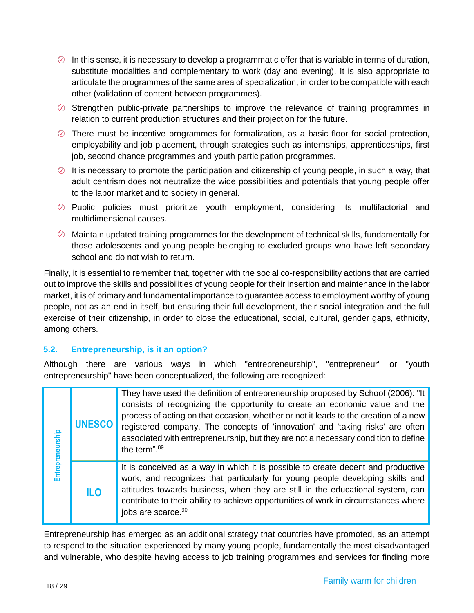- $\circled{0}$  In this sense, it is necessary to develop a programmatic offer that is variable in terms of duration, substitute modalities and complementary to work (day and evening). It is also appropriate to articulate the programmes of the same area of specialization, in order to be compatible with each other (validation of content between programmes).
- $\oslash$  Strengthen public-private partnerships to improve the relevance of training programmes in relation to current production structures and their projection for the future.
- $\oslash$  There must be incentive programmes for formalization, as a basic floor for social protection, employability and job placement, through strategies such as internships, apprenticeships, first job, second chance programmes and youth participation programmes.
- $\oslash$  It is necessary to promote the participation and citizenship of young people, in such a way, that adult centrism does not neutralize the wide possibilities and potentials that young people offer to the labor market and to society in general.
- Public policies must prioritize youth employment, considering its multifactorial and multidimensional causes.
- $\oslash$  Maintain updated training programmes for the development of technical skills, fundamentally for those adolescents and young people belonging to excluded groups who have left secondary school and do not wish to return.

<span id="page-17-0"></span>Finally, it is essential to remember that, together with the social co-responsibility actions that are carried out to improve the skills and possibilities of young people for their insertion and maintenance in the labor market, it is of primary and fundamental importance to guarantee access to employment worthy of young people, not as an end in itself, but ensuring their full development, their social integration and the full exercise of their citizenship, in order to close the educational, social, cultural, gender gaps, ethnicity, among others.

# **5.2. Entrepreneurship, is it an option?**

Although there are various ways in which "entrepreneurship", "entrepreneur" or "youth entrepreneurship" have been conceptualized, the following are recognized:

| Entrepreneurship | <b>UNESCO</b>   | They have used the definition of entrepreneurship proposed by Schoof (2006): "It<br>consists of recognizing the opportunity to create an economic value and the<br>process of acting on that occasion, whether or not it leads to the creation of a new<br>registered company. The concepts of 'innovation' and 'taking risks' are often<br>associated with entrepreneurship, but they are not a necessary condition to define<br>the term". <sup>89</sup> |
|------------------|-----------------|------------------------------------------------------------------------------------------------------------------------------------------------------------------------------------------------------------------------------------------------------------------------------------------------------------------------------------------------------------------------------------------------------------------------------------------------------------|
|                  | IL <sub>0</sub> | It is conceived as a way in which it is possible to create decent and productive<br>work, and recognizes that particularly for young people developing skills and<br>attitudes towards business, when they are still in the educational system, can<br>contribute to their ability to achieve opportunities of work in circumstances where<br>jobs are scarce. <sup>90</sup>                                                                               |

Entrepreneurship has emerged as an additional strategy that countries have promoted, as an attempt to respond to the situation experienced by many young people, fundamentally the most disadvantaged and vulnerable, who despite having access to job training programmes and services for finding more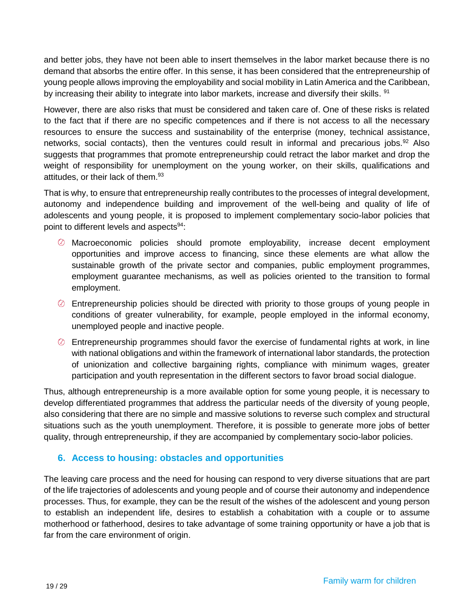and better jobs, they have not been able to insert themselves in the labor market because there is no demand that absorbs the entire offer. In this sense, it has been considered that the entrepreneurship of young people allows improving the employability and social mobility in Latin America and the Caribbean, by increasing their ability to integrate into labor markets, increase and diversify their skills. <sup>91</sup>

However, there are also risks that must be considered and taken care of. One of these risks is related to the fact that if there are no specific competences and if there is not access to all the necessary resources to ensure the success and sustainability of the enterprise (money, technical assistance, networks, social contacts), then the ventures could result in informal and precarious jobs.<sup>92</sup> Also suggests that programmes that promote entrepreneurship could retract the labor market and drop the weight of responsibility for unemployment on the young worker, on their skills, qualifications and attitudes, or their lack of them. 93

That is why, to ensure that entrepreneurship really contributes to the processes of integral development, autonomy and independence building and improvement of the well-being and quality of life of adolescents and young people, it is proposed to implement complementary socio-labor policies that point to different levels and aspects<sup>94</sup>:

- Macroeconomic policies should promote employability, increase decent employment opportunities and improve access to financing, since these elements are what allow the sustainable growth of the private sector and companies, public employment programmes, employment guarantee mechanisms, as well as policies oriented to the transition to formal employment.
- $\oslash$  Entrepreneurship policies should be directed with priority to those groups of young people in conditions of greater vulnerability, for example, people employed in the informal economy, unemployed people and inactive people.
- $\heartsuit$  Entrepreneurship programmes should favor the exercise of fundamental rights at work, in line with national obligations and within the framework of international labor standards, the protection of unionization and collective bargaining rights, compliance with minimum wages, greater participation and youth representation in the different sectors to favor broad social dialogue.

Thus, although entrepreneurship is a more available option for some young people, it is necessary to develop differentiated programmes that address the particular needs of the diversity of young people, also considering that there are no simple and massive solutions to reverse such complex and structural situations such as the youth unemployment. Therefore, it is possible to generate more jobs of better quality, through entrepreneurship, if they are accompanied by complementary socio-labor policies.

# **6. Access to housing: obstacles and opportunities**

The leaving care process and the need for housing can respond to very diverse situations that are part of the life trajectories of adolescents and young people and of course their autonomy and independence processes. Thus, for example, they can be the result of the wishes of the adolescent and young person to establish an independent life, desires to establish a cohabitation with a couple or to assume motherhood or fatherhood, desires to take advantage of some training opportunity or have a job that is far from the care environment of origin.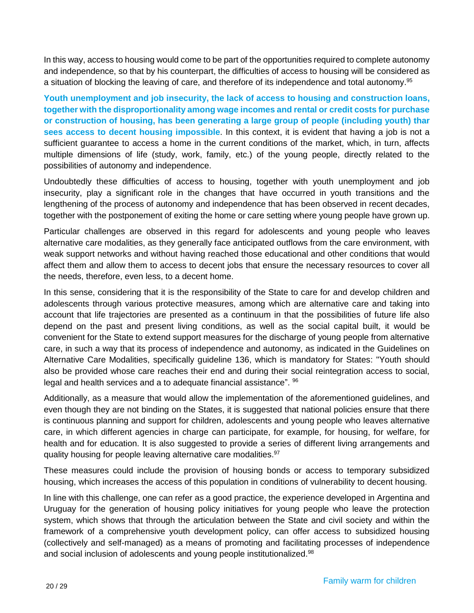In this way, access to housing would come to be part of the opportunities required to complete autonomy and independence, so that by his counterpart, the difficulties of access to housing will be considered as a situation of blocking the leaving of care, and therefore of its independence and total autonomy.<sup>95</sup>

**Youth unemployment and job insecurity, the lack of access to housing and construction loans, together with the disproportionality among wage incomes and rental or credit costs for purchase or construction of housing, has been generating a large group of people (including youth) thar sees access to decent housing impossible**. In this context, it is evident that having a job is not a sufficient guarantee to access a home in the current conditions of the market, which, in turn, affects multiple dimensions of life (study, work, family, etc.) of the young people, directly related to the possibilities of autonomy and independence.

Undoubtedly these difficulties of access to housing, together with youth unemployment and job insecurity, play a significant role in the changes that have occurred in youth transitions and the lengthening of the process of autonomy and independence that has been observed in recent decades, together with the postponement of exiting the home or care setting where young people have grown up.

Particular challenges are observed in this regard for adolescents and young people who leaves alternative care modalities, as they generally face anticipated outflows from the care environment, with weak support networks and without having reached those educational and other conditions that would affect them and allow them to access to decent jobs that ensure the necessary resources to cover all the needs, therefore, even less, to a decent home.

In this sense, considering that it is the responsibility of the State to care for and develop children and adolescents through various protective measures, among which are alternative care and taking into account that life trajectories are presented as a continuum in that the possibilities of future life also depend on the past and present living conditions, as well as the social capital built, it would be convenient for the State to extend support measures for the discharge of young people from alternative care, in such a way that its process of independence and autonomy, as indicated in the Guidelines on Alternative Care Modalities, specifically guideline 136, which is mandatory for States: "Youth should also be provided whose care reaches their end and during their social reintegration access to social, legal and health services and a to adequate financial assistance". <sup>96</sup>

Additionally, as a measure that would allow the implementation of the aforementioned guidelines, and even though they are not binding on the States, it is suggested that national policies ensure that there is continuous planning and support for children, adolescents and young people who leaves alternative care, in which different agencies in charge can participate, for example, for housing, for welfare, for health and for education. It is also suggested to provide a series of different living arrangements and quality housing for people leaving alternative care modalities.<sup>97</sup>

These measures could include the provision of housing bonds or access to temporary subsidized housing, which increases the access of this population in conditions of vulnerability to decent housing.

In line with this challenge, one can refer as a good practice, the experience developed in Argentina and Uruguay for the generation of housing policy initiatives for young people who leave the protection system, which shows that through the articulation between the State and civil society and within the framework of a comprehensive youth development policy, can offer access to subsidized housing (collectively and self-managed) as a means of promoting and facilitating processes of independence and social inclusion of adolescents and young people institutionalized.<sup>98</sup>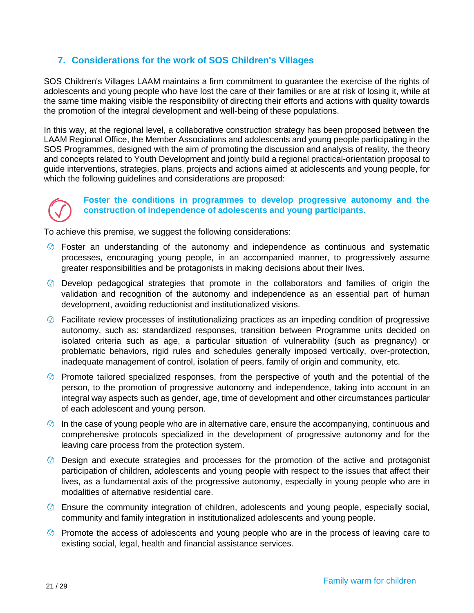# <span id="page-20-0"></span>**7. Considerations for the work of SOS Children's Villages**

SOS Children's Villages LAAM maintains a firm commitment to guarantee the exercise of the rights of adolescents and young people who have lost the care of their families or are at risk of losing it, while at the same time making visible the responsibility of directing their efforts and actions with quality towards the promotion of the integral development and well-being of these populations.

In this way, at the regional level, a collaborative construction strategy has been proposed between the LAAM Regional Office, the Member Associations and adolescents and young people participating in the SOS Programmes, designed with the aim of promoting the discussion and analysis of reality, the theory and concepts related to Youth Development and jointly build a regional practical-orientation proposal to guide interventions, strategies, plans, projects and actions aimed at adolescents and young people, for which the following guidelines and considerations are proposed:



### **Foster the conditions in programmes to develop progressive autonomy and the construction of independence of adolescents and young participants.**

- Foster an understanding of the autonomy and independence as continuous and systematic processes, encouraging young people, in an accompanied manner, to progressively assume greater responsibilities and be protagonists in making decisions about their lives.
- $\oslash$  Develop pedagogical strategies that promote in the collaborators and families of origin the validation and recognition of the autonomy and independence as an essential part of human development, avoiding reductionist and institutionalized visions.
- $\oslash$  Facilitate review processes of institutionalizing practices as an impeding condition of progressive autonomy, such as: standardized responses, transition between Programme units decided on isolated criteria such as age, a particular situation of vulnerability (such as pregnancy) or problematic behaviors, rigid rules and schedules generally imposed vertically, over-protection, inadequate management of control, isolation of peers, family of origin and community, etc.
- $\oslash$  Promote tailored specialized responses, from the perspective of youth and the potential of the person, to the promotion of progressive autonomy and independence, taking into account in an integral way aspects such as gender, age, time of development and other circumstances particular of each adolescent and young person.
- $\circled{0}$  In the case of young people who are in alternative care, ensure the accompanying, continuous and comprehensive protocols specialized in the development of progressive autonomy and for the leaving care process from the protection system.
- Design and execute strategies and processes for the promotion of the active and protagonist participation of children, adolescents and young people with respect to the issues that affect their lives, as a fundamental axis of the progressive autonomy, especially in young people who are in modalities of alternative residential care.
- Ensure the community integration of children, adolescents and young people, especially social, community and family integration in institutionalized adolescents and young people.
- $\heartsuit$  Promote the access of adolescents and young people who are in the process of leaving care to existing social, legal, health and financial assistance services.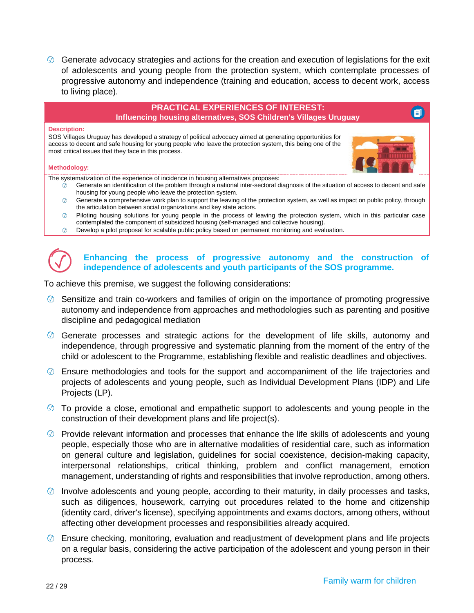Generate advocacy strategies and actions for the creation and execution of legislations for the exit of adolescents and young people from the protection system, which contemplate processes of progressive autonomy and independence (training and education, access to decent work, access to living place).



- contemplated the component of subsidized housing (self-managed and collective housing).
- $\circledcirc$ Develop a pilot proposal for scalable public policy based on permanent monitoring and evaluation.

### **Enhancing the process of progressive autonomy and the construction of independence of adolescents and youth participants of the SOS programme.**

- $\oslash$  Sensitize and train co-workers and families of origin on the importance of promoting progressive autonomy and independence from approaches and methodologies such as parenting and positive discipline and pedagogical mediation
- $\oslash$  Generate processes and strategic actions for the development of life skills, autonomy and independence, through progressive and systematic planning from the moment of the entry of the child or adolescent to the Programme, establishing flexible and realistic deadlines and objectives.
- Ensure methodologies and tools for the support and accompaniment of the life trajectories and projects of adolescents and young people, such as Individual Development Plans (IDP) and Life Projects (LP).
- $\heartsuit$  To provide a close, emotional and empathetic support to adolescents and young people in the construction of their development plans and life project(s).
- $\oslash$  Provide relevant information and processes that enhance the life skills of adolescents and young people, especially those who are in alternative modalities of residential care, such as information on general culture and legislation, guidelines for social coexistence, decision-making capacity, interpersonal relationships, critical thinking, problem and conflict management, emotion management, understanding of rights and responsibilities that involve reproduction, among others.
- $\oslash$  Involve adolescents and young people, according to their maturity, in daily processes and tasks, such as diligences, housework, carrying out procedures related to the home and citizenship (identity card, driver's license), specifying appointments and exams doctors, among others, without affecting other development processes and responsibilities already acquired.
- $\oslash$  Ensure checking, monitoring, evaluation and readjustment of development plans and life projects on a regular basis, considering the active participation of the adolescent and young person in their process.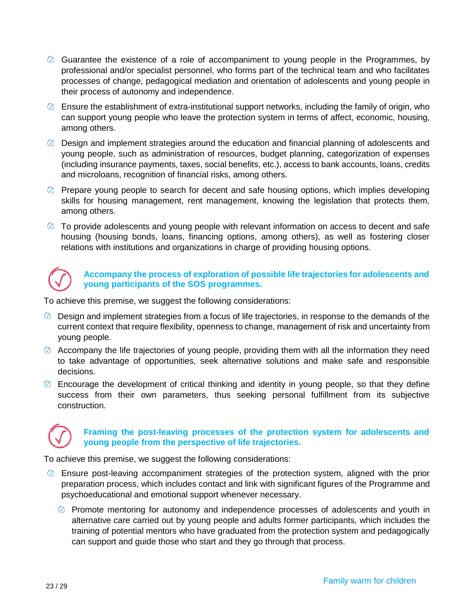- Guarantee the existence of a role of accompaniment to young people in the Programmes, by professional and/or specialist personnel, who forms part of the technical team and who facilitates processes of change, pedagogical mediation and orientation of adolescents and young people in their process of autonomy and independence.
- $\oslash$  Ensure the establishment of extra-institutional support networks, including the family of origin, who can support young people who leave the protection system in terms of affect, economic, housing, among others.
- $\oslash$  Design and implement strategies around the education and financial planning of adolescents and young people, such as administration of resources, budget planning, categorization of expenses (including insurance payments, taxes, social benefits, etc.), access to bank accounts, loans, credits and microloans, recognition of financial risks, among others.
- $\oslash$  Prepare young people to search for decent and safe housing options, which implies developing skills for housing management, rent management, knowing the legislation that protects them, among others.
- $\oslash$  To provide adolescents and young people with relevant information on access to decent and safe housing (housing bonds, loans, financing options, among others), as well as fostering closer relations with institutions and organizations in charge of providing housing options.



### **Accompany the process of exploration of possible life trajectories for adolescents and young participants of the SOS programmes.**

To achieve this premise, we suggest the following considerations:

- $\oslash$  Design and implement strategies from a focus of life trajectories, in response to the demands of the current context that require flexibility, openness to change, management of risk and uncertainty from young people.
- $\oslash$  Accompany the life trajectories of young people, providing them with all the information they need to take advantage of opportunities, seek alternative solutions and make safe and responsible decisions.
- $\oslash$  Encourage the development of critical thinking and identity in young people, so that they define success from their own parameters, thus seeking personal fulfillment from its subjective construction.



### **Framing the post-leaving processes of the protection system for adolescents and young people from the perspective of life trajectories.**

- $\oslash$  Ensure post-leaving accompaniment strategies of the protection system, aligned with the prior preparation process, which includes contact and link with significant figures of the Programme and psychoeducational and emotional support whenever necessary.
	- $\oslash$  Promote mentoring for autonomy and independence processes of adolescents and youth in alternative care carried out by young people and adults former participants, which includes the training of potential mentors who have graduated from the protection system and pedagogically can support and guide those who start and they go through that process.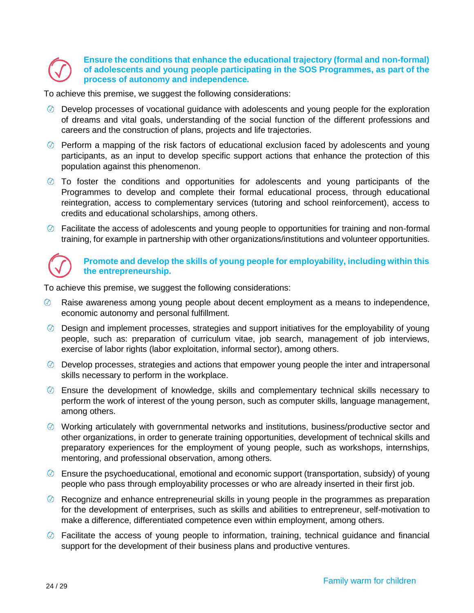### **Ensure the conditions that enhance the educational trajectory (formal and non-formal) of adolescents and young people participating in the SOS Programmes, as part of the process of autonomy and independence.**

To achieve this premise, we suggest the following considerations:

- $\oslash$  Develop processes of vocational guidance with adolescents and young people for the exploration of dreams and vital goals, understanding of the social function of the different professions and careers and the construction of plans, projects and life trajectories.
- $\oslash$  Perform a mapping of the risk factors of educational exclusion faced by adolescents and young participants, as an input to develop specific support actions that enhance the protection of this population against this phenomenon.
- $\oslash$  To foster the conditions and opportunities for adolescents and young participants of the Programmes to develop and complete their formal educational process, through educational reintegration, access to complementary services (tutoring and school reinforcement), access to credits and educational scholarships, among others.
- $\oslash$  Facilitate the access of adolescents and young people to opportunities for training and non-formal training, for example in partnership with other organizations/institutions and volunteer opportunities.



### **Promote and develop the skills of young people for employability, including within this the entrepreneurship.**

- Raise awareness among young people about decent employment as a means to independence, economic autonomy and personal fulfillment.
- $\circledcirc$  Design and implement processes, strategies and support initiatives for the employability of young people, such as: preparation of curriculum vitae, job search, management of job interviews, exercise of labor rights (labor exploitation, informal sector), among others.
- $\oslash$  Develop processes, strategies and actions that empower young people the inter and intrapersonal skills necessary to perform in the workplace.
- $\oslash$  Ensure the development of knowledge, skills and complementary technical skills necessary to perform the work of interest of the young person, such as computer skills, language management, among others.
- $\heartsuit$  Working articulately with governmental networks and institutions, business/productive sector and other organizations, in order to generate training opportunities, development of technical skills and preparatory experiences for the employment of young people, such as workshops, internships, mentoring, and professional observation, among others.
- $\oslash$  Ensure the psychoeducational, emotional and economic support (transportation, subsidy) of young people who pass through employability processes or who are already inserted in their first job.
- $\circledcirc$  Recognize and enhance entrepreneurial skills in young people in the programmes as preparation for the development of enterprises, such as skills and abilities to entrepreneur, self-motivation to make a difference, differentiated competence even within employment, among others.
- Facilitate the access of young people to information, training, technical guidance and financial support for the development of their business plans and productive ventures.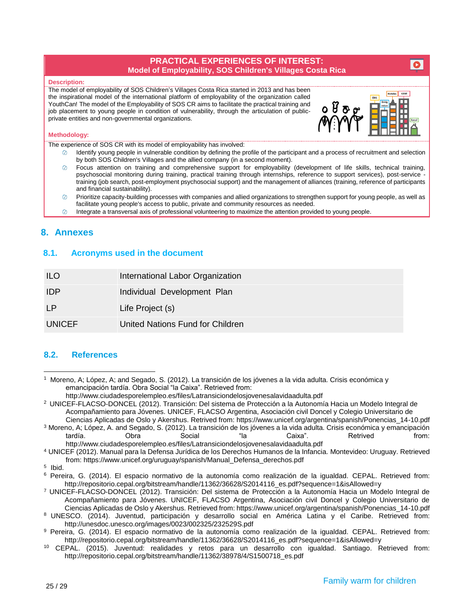### **PRACTICAL EXPERIENCES OF INTEREST: Model of Employability, SOS Children's Villages Costa Rica**

#### **Description:**

The model of employability of SOS Children's Villages Costa Rica started in 2013 and has been the inspirational model of the international platform of employability of the organization called YouthCan! The model of the Employability of SOS CR aims to facilitate the practical training and job placement to young people in condition of vulnerability, through the articulation of publicprivate entities and non-governmental organizations.



 $\bullet$ 

### **Methodology:**

The experience of SOS CR with its model of employability has involved:

- Identify young people in vulnerable condition by defining the profile of the participant and a process of recruitment and selection by both SOS Children's Villages and the allied company (in a second moment).
- Focus attention on training and comprehensive support for employability (development of life skills, technical training, psychosocial monitoring during training, practical training through internships, reference to support services), post-service training (job search, post-employment psychosocial support) and the management of alliances (training, reference of participants and financial sustainability).
- Prioritize capacity-building processes with companies and allied organizations to strengthen support for young people, as well as facilitate young people's access to public, private and community resources as needed.
- $\circledcirc$ Integrate a transversal axis of professional volunteering to maximize the attention provided to young people.

### <span id="page-24-0"></span>**8. Annexes**

### **8.1. Acronyms used in the document**

| ILO           | International Labor Organization |
|---------------|----------------------------------|
| <b>IDP</b>    | Individual Development Plan      |
| $\mathsf{P}$  | Life Project (s)                 |
| <b>UNICEF</b> | United Nations Fund for Children |

### <span id="page-24-1"></span>**8.2. References**

<http://www.ciudadesporelempleo.es/files/Latransiciondelosjovenesalavidaadulta.pdf>

<sup>2</sup> UNICEF-FLACSO-DONCEL (2012). Transición: Del sistema de Protección a la Autonomía Hacia un Modelo Integral de Acompañamiento para Jóvenes. UNICEF, FLACSO Argentina, Asociación civil Doncel y Colegio Universitario de Ciencias Aplicadas de Oslo y Akershus. Retrived from[: https://www.unicef.org/argentina/spanish/Ponencias\\_14-10.pdf](https://www.unicef.org/argentina/spanish/Ponencias_14-10.pdf)

<sup>3</sup> Moreno, A; López, A. and Segado, S. (2012). La transición de los jóvenes a la vida adulta. Crisis económica y emancipación tardía. Obra Social "la Caixa". Retrived from: <http://www.ciudadesporelempleo.es/files/Latransiciondelosjovenesalavidaadulta.pdf>

<sup>4</sup> UNICEF (2012). Manual para la Defensa Jurídica de los Derechos Humanos de la Infancia. Montevideo: Uruguay. Retrieved from: [https://www.unicef.org/uruguay/spanish/Manual\\_Defensa\\_derechos.pdf](https://www.unicef.org/uruguay/spanish/Manual_Defensa_derechos.pdf)

5 Ibid.

 $\overline{a}$ 

<sup>7</sup> UNICEF-FLACSO-DONCEL (2012). Transición: Del sistema de Protección a la Autonomía Hacia un Modelo Integral de Acompañamiento para Jóvenes. UNICEF, FLACSO Argentina, Asociación civil Doncel y Colegio Universitario de Ciencias Aplicadas de Oslo y Akershus. Retrieved from[: https://www.unicef.org/argentina/spanish/Ponencias\\_14-10.pdf](https://www.unicef.org/argentina/spanish/Ponencias_14-10.pdf)

<sup>8</sup> UNESCO. (2014). Juventud, participación y desarrollo social en América Latina y el Caribe. Retrieved from: http://unesdoc.unesco.org/images/0023/002325/232529S.pdf

<sup>1</sup> Moreno, A; López, A; and Segado, S. (2012). La transición de los jóvenes a la vida adulta. Crisis económica y emancipación tardía. Obra Social "la Caixa". Retrieved from:

<sup>6</sup> Pereira, G. (2014). El espacio normativo de la autonomía como realización de la igualdad. CEPAL. Retrieved from: [http://repositorio.cepal.org/bitstream/handle/11362/36628/S2014116\\_es.pdf?sequence=1&isAllowed=y](http://repositorio.cepal.org/bitstream/handle/11362/36628/S2014116_es.pdf?sequence=1&isAllowed=y)

<sup>9</sup> Pereira, G. (2014). El espacio normativo de la autonomía como realización de la igualdad. CEPAL. Retrieved from: [http://repositorio.cepal.org/bitstream/handle/11362/36628/S2014116\\_es.pdf?sequence=1&isAllowed=y](http://repositorio.cepal.org/bitstream/handle/11362/36628/S2014116_es.pdf?sequence=1&isAllowed=y)

<sup>10</sup> CEPAL. (2015). Juventud: realidades y retos para un desarrollo con igualdad. Santiago. Retrieved from: [http://repositorio.cepal.org/bitstream/handle/11362/38978/4/S1500718\\_es.pdf](http://repositorio.cepal.org/bitstream/handle/11362/38978/4/S1500718_es.pdf)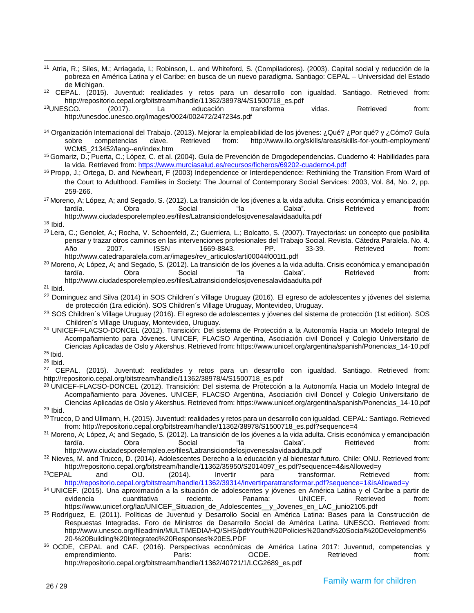<sup>11</sup> Atria, R.; Siles, M.; Arriagada, I.; Robinson, L. and Whiteford, S. (Compiladores). (2003). Capital social y reducción de la pobreza en América Latina y el Caribe: en busca de un nuevo paradigma. Santiago: CEPAL – Universidad del Estado de Michigan.

<sup>12</sup> CEPAL. (2015). Juventud: realidades y retos para un desarrollo con igualdad. Santiago. Retrieved from: [http://repositorio.cepal.org/bitstream/handle/11362/38978/4/S1500718\\_es.pdf](http://repositorio.cepal.org/bitstream/handle/11362/38978/4/S1500718_es.pdf)

<sup>13</sup>UNESCO. (2017). La educación transforma vidas. Retrieved from: <http://unesdoc.unesco.org/images/0024/002472/247234s.pdf>

<sup>14</sup> Organización Internacional del Trabajo. (2013). Mejorar la empleabilidad de los jóvenes: ¿Qué? ¿Por qué? y ¿Cómo? Guía sobre competencias clave. Retrieved from: http://www.ilo.org/skills/areas/skills-for-youth-employment/ WCMS\_213452/lang--en/index.htm

<sup>15</sup> Gomariz, D.; Puerta, C.; López, C. et al. (2004). Guía de Prevención de Drogodependencias. Cuaderno 4: Habilidades para la vida. Retrieved from[: https://www.murciasalud.es/recursos/ficheros/69202-cuaderno4.pdf](https://www.murciasalud.es/recursos/ficheros/69202-cuaderno4.pdf)

16 Propp, J.; Ortega, D. and Newheart, F (2003) Independence or Interdependence: Rethinking the Transition From Ward of the Court to Adulthood. Families in Society: The Journal of Contemporary Social Services: 2003, Vol. 84, No. 2, pp. 259-266.

<sup>17</sup> Moreno, A; López, A; and Segado, S. (2012). La transición de los jóvenes a la vida adulta. Crisis económica y emancipación tardía. Obra Social "la Caixa". Retrieved from: <http://www.ciudadesporelempleo.es/files/Latransiciondelosjovenesalavidaadulta.pdf>

<sup>18</sup> Ibid.

<sup>19</sup> Lera, C.; Genolet, A.; Rocha, V. Schoenfeld, Z.; Guerriera, L.; Bolcatto, S. (2007). Trayectorias: un concepto que posibilita pensar y trazar otros caminos en las intervenciones profesionales del Trabajo Social. Revista. Cátedra Paralela. No. 4. Año 2007. ISSN 1669-8843. PP. 33-39. Retrieved from: http://www.catedraparalela.com.ar/images/rev\_articulos/arti00044f001t1.pdf

<sup>20</sup> Moreno, A; López, A; and Segado, S. (2012). La transición de los jóvenes a la vida adulta. Crisis económica y emancipación tardía.<br>Caixa". Caixa". Crisis económica y emancipación cardía. Crisis expression tardía. tardía. Obra Social "la Caixa". Retrieved from: <http://www.ciudadesporelempleo.es/files/Latransiciondelosjovenesalavidaadulta.pdf>

 $21$  Ibid.

<sup>22</sup> Dominguez and Silva (2014) in SOS Children's Village Uruguay (2016). El egreso de adolescentes y jóvenes del sistema de protección (1ra edición). SOS Children´s Village Uruguay, Montevideo, Uruguay.

<sup>23</sup> SOS Children´s Village Uruguay (2016). El egreso de adolescentes y jóvenes del sistema de protección (1st edition). SOS Children´s Village Uruguay, Montevideo, Uruguay.

<sup>24</sup> UNICEF-FLACSO-DONCEL (2012). Transición: Del sistema de Protección a la Autonomía Hacia un Modelo Integral de Acompañamiento para Jóvenes. UNICEF, FLACSO Argentina, Asociación civil Doncel y Colegio Universitario de Ciencias Aplicadas de Oslo y Akershus. Retrieved from[: https://www.unicef.org/argentina/spanish/Ponencias\\_14-10.pdf](https://www.unicef.org/argentina/spanish/Ponencias_14-10.pdf) <sup>25</sup> Ibid.

<sup>26</sup> Ibid.

<sup>27</sup> CEPAL. (2015). Juventud: realidades y retos para un desarrollo con igualdad. Santiago. Retrieved from: [http://repositorio.cepal.org/bitstream/handle/11362/38978/4/S1500718\\_es.pdf](http://repositorio.cepal.org/bitstream/handle/11362/38978/4/S1500718_es.pdf)

<sup>28</sup> UNICEF-FLACSO-DONCEL (2012). Transición: Del sistema de Protección a la Autonomía Hacia un Modelo Integral de Acompañamiento para Jóvenes. UNICEF, FLACSO Argentina, Asociación civil Doncel y Colegio Universitario de Ciencias Aplicadas de Oslo y Akershus. Retrieved from[: https://www.unicef.org/argentina/spanish/Ponencias\\_14-10.pdf](https://www.unicef.org/argentina/spanish/Ponencias_14-10.pdf)  $29$  Ibid.

30 Trucco, D and Ullmann, H. (2015). Juventud: realidades y retos para un desarrollo con igualdad. CEPAL: Santiago. Retrieved from[: http://repositorio.cepal.org/bitstream/handle/11362/38978/S1500718\\_es.pdf?sequence=4](http://repositorio.cepal.org/bitstream/handle/11362/38978/S1500718_es.pdf?sequence=4)

<sup>31</sup> Moreno, A; López, A; and Segado, S. (2012). La transición de los jóvenes a la vida adulta. Crisis económica y emancipación tardía. Obra Social "la Caixa". Retrieved from: <http://www.ciudadesporelempleo.es/files/Latransiciondelosjovenesalavidaadulta.pdf>

32 Nieves, M. and Trucco, D. (2014). Adolescentes Derecho a la educación y al bienestar futuro. Chile: ONU. Retrieved from: http://repositorio.cepal.org/bitstream/handle/11362/35950/S2014097\_es.pdf?sequence=4&isAllowed=y

<sup>33</sup>CEPAL and OIJ. (2014). Invertir para transformar. Retrieved from: <http://repositorio.cepal.org/bitstream/handle/11362/39314/invertirparatransformar.pdf?sequence=1&isAllowed=y>

<sup>34</sup> UNICEF. (2015). Una aproximación a la situación de adolescentes y jóvenes en América Latina y el Caribe a partir de evidencia cuantitativa reciente. Panama: UNICEF. Retrieved from: [https://www.unicef.org/lac/UNICEF\\_Situacion\\_de\\_Adolescentes\\_\\_y\\_Jovenes\\_en\\_LAC\\_junio2105.pdf](https://www.unicef.org/lac/UNICEF_Situacion_de_Adolescentes__y_Jovenes_en_LAC_junio2105.pdf)

<sup>35</sup> Rodríguez, E. (2011). Políticas de Juventud y Desarrollo Social en América Latina: Bases para la Construcción de Respuestas Integradas. Foro de Ministros de Desarrollo Social de América Latina. UNESCO. Retrieved from: [http://www.unesco.org/fileadmin/MULTIMEDIA/HQ/SHS/pdf/Youth%20Policies%20and%20Social%20Development%](http://www.unesco.org/fileadmin/MULTIMEDIA/HQ/SHS/pdf/Youth%20Policies%20and%20Social%20Development%20-%20Building%20Integrated%20Responses%20ES.PDF) [20-%20Building%20Integrated%20Responses%20ES.PDF](http://www.unesco.org/fileadmin/MULTIMEDIA/HQ/SHS/pdf/Youth%20Policies%20and%20Social%20Development%20-%20Building%20Integrated%20Responses%20ES.PDF)

<sup>36</sup> OCDE, CEPAL and CAF. (2016). Perspectivas económicas de América Latina 2017: Juventud, competencias y emprendimiento. Paris: OCDE. Retrieved from: http://repositorio.cepal.org/bitstream/handle/11362/40721/1/LCG2689\_es.pdf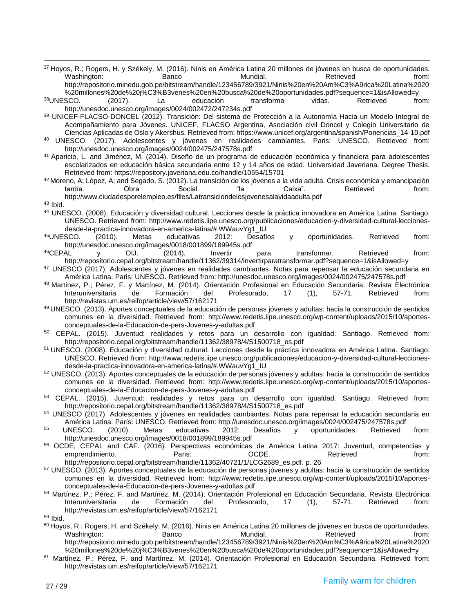<sup>37</sup> Hoyos, R.; Rogers, H. y Székely, M. (2016). Ninis en América Latina 20 millones de jóvenes en busca de oportunidades.<br>Chanco Mundial. Bundial. Retrieved from: Washington: Banco Mundial. Retrieved from: [http://repositorio.minedu.gob.pe/bitstream/handle/123456789/3921/Ninis%20en%20Am%C3%A9rica%20Latina%2020](http://repositorio.minedu.gob.pe/bitstream/handle/123456789/3921/Ninis%20en%20Am%C3%A9rica%20Latina%2020%20millones%20de%20j%C3%B3venes%20en%20busca%20de%20oportunidades.pdf?sequence=1&isAllowed=y)

[%20millones%20de%20j%C3%B3venes%20en%20busca%20de%20oportunidades.pdf?sequence=1&isAllowed=y](http://repositorio.minedu.gob.pe/bitstream/handle/123456789/3921/Ninis%20en%20Am%C3%A9rica%20Latina%2020%20millones%20de%20j%C3%B3venes%20en%20busca%20de%20oportunidades.pdf?sequence=1&isAllowed=y)<br>SCO. (2017). La educación transforma vidas. Retrieved fro <sup>38</sup>UNESCO. (2017). La educación transforma vidas. Retrieved from: <http://unesdoc.unesco.org/images/0024/002472/247234s.pdf>

<sup>39</sup> UNICEF-FLACSO-DONCEL (2012). Transición: Del sistema de Protección a la Autonomía Hacia un Modelo Integral de Acompañamiento para Jóvenes. UNICEF, FLACSO Argentina, Asociación civil Doncel y Colegio Universitario de Ciencias Aplicadas de Oslo y Akershus. Retrieved from[: https://www.unicef.org/argentina/spanish/Ponencias\\_14-10.pdf](https://www.unicef.org/argentina/spanish/Ponencias_14-10.pdf)

<sup>40</sup> UNESCO. (2017). Adolescentes y jóvenes en realidades cambiantes. Paris: UNESCO. Retrieved from: http://unesdoc.unesco.org/images/0024/002475/247578s.pdf

<sup>41</sup> Aparicio, L. and Jiménez, M. (2014). Diseño de un programa de educación económica y financiera para adolescentes escolarizados en educación básica secundaria entre 12 y 14 años de edad. Universidad Javeriana. Degree Thesis. Retrieved from[: https://repository.javeriana.edu.co/handle/10554/15701](https://repository.javeriana.edu.co/handle/10554/15701)

 $42$  Moreno, A; López, A; and Segado, S. (2012). La transición de los jóvenes a la vida adulta. Crisis económica y emancipación tardía. Obra Social "la Caixa". Retrieved from: <http://www.ciudadesporelempleo.es/files/Latransiciondelosjovenesalavidaadulta.pdf>

<sup>43</sup> Ibid.

<sup>44</sup> UNESCO. (2008). Educación y diversidad cultural. Lecciones desde la práctica innovadora en América Latina. Santiago: UNESCO. Retrieved from: [http://www.redetis.iipe.unesco.org/publicaciones/educacion-y-diversidad-cultural-lecciones](http://www.redetis.iipe.unesco.org/publicaciones/educacion-y-diversidad-cultural-lecciones-desde-la-practica-innovadora-en-america-latina/#.WWauvYg1_IU)[desde-la-practica-innovadora-en-america-latina/#.WWauvYg1\\_IU](http://www.redetis.iipe.unesco.org/publicaciones/educacion-y-diversidad-cultural-lecciones-desde-la-practica-innovadora-en-america-latina/#.WWauvYg1_IU)<br><sup>45</sup>UNESCO. (2010). Metas educativas 2012: Desafí

<sup>45</sup>UNESCO. (2010). Metas educativas 2012: Desafíos y oportunidades. Retrieved from:

<http://unesdoc.unesco.org/images/0018/001899/189945s.pdf><br><sup>46</sup>CEPAL v OIJ. (2014). Invertir <sup>46</sup>CEPAL y OIJ. (2014). Invertir para transformar. Retrieved from: <http://repositorio.cepal.org/bitstream/handle/11362/39314/invertirparatransformar.pdf?sequence=1&isAllowed=y>

<sup>47</sup> UNESCO (2017). Adolescentes y jóvenes en realidades cambiantes. Notas para repensar la educación secundaria en América Latina. Paris: UNESCO. Retrieved from: http://unesdoc.unesco.org/images/0024/002475/247578s.pdf

48 Martínez, P.; Pérez, F. y Martínez, M. (2014). Orientación Profesional en Educación Secundaria. Revista Electrónica<br>17 (1), 57-71. Retrieved from: Interuniversitaria de Formación del Profesorado, 17 (1), 57-71. Retrieved from: <http://revistas.um.es/reifop/article/view/57/162171>

<sup>49</sup> UNESCO. (2013). Aportes conceptuales de la educación de personas jóvenes y adultas: hacia la construcción de sentidos comunes en la diversidad. Retrieved from: [http://www.redetis.iipe.unesco.org/wp-content/uploads/2015/10/aportes](http://www.redetis.iipe.unesco.org/wp-content/uploads/2015/10/aportes-conceptuales-de-la-Educacion-de-pers-Jovenes-y-adultas.pdf)[conceptuales-de-la-Educacion-de-pers-Jovenes-y-adultas.pdf](http://www.redetis.iipe.unesco.org/wp-content/uploads/2015/10/aportes-conceptuales-de-la-Educacion-de-pers-Jovenes-y-adultas.pdf)

<sup>50</sup> CEPAL. (2015). Juventud: realidades y retos para un desarrollo con igualdad. Santiago. Retrieved from: [http://repositorio.cepal.org/bitstream/handle/11362/38978/4/S1500718\\_es.pdf](http://repositorio.cepal.org/bitstream/handle/11362/38978/4/S1500718_es.pdf)

<sup>51</sup> UNESCO. (2008). Educación y diversidad cultural. Lecciones desde la práctica innovadora en América Latina. Santiago: UNESCO. Retrieved from: [http://www.redetis.iipe.unesco.org/publicaciones/educacion-y-diversidad-cultural-lecciones](http://www.redetis.iipe.unesco.org/publicaciones/educacion-y-diversidad-cultural-lecciones-desde-la-practica-innovadora-en-america-latina/#.WWauvYg1_IU)[desde-la-practica-innovadora-en-america-latina/#.WWauvYg1\\_IU](http://www.redetis.iipe.unesco.org/publicaciones/educacion-y-diversidad-cultural-lecciones-desde-la-practica-innovadora-en-america-latina/#.WWauvYg1_IU)

<sup>52</sup> UNESCO. (2013). Aportes conceptuales de la educación de personas jóvenes y adultas: hacia la construcción de sentidos comunes en la diversidad. Retrieved from: [http://www.redetis.iipe.unesco.org/wp-content/uploads/2015/10/aportes](http://www.redetis.iipe.unesco.org/wp-content/uploads/2015/10/aportes-conceptuales-de-la-Educacion-de-pers-Jovenes-y-adultas.pdf)[conceptuales-de-la-Educacion-de-pers-Jovenes-y-adultas.pdf](http://www.redetis.iipe.unesco.org/wp-content/uploads/2015/10/aportes-conceptuales-de-la-Educacion-de-pers-Jovenes-y-adultas.pdf)

53 CEPAL. (2015). Juventud: realidades y retos para un desarrollo con igualdad. Santiago. Retrieved from: [http://repositorio.cepal.org/bitstream/handle/11362/38978/4/S1500718\\_es.pdf](http://repositorio.cepal.org/bitstream/handle/11362/38978/4/S1500718_es.pdf)

<sup>54</sup> UNESCO (2017). Adolescentes y jóvenes en realidades cambiantes. Notas para repensar la educación secundaria en América Latina. París: UNESCO. Retrieved from:<http://unesdoc.unesco.org/images/0024/002475/247578s.pdf>

<sup>55</sup> UNESCO. (2010). Metas educativas 2012: Desafíos y oportunidades. Retrieved from: <http://unesdoc.unesco.org/images/0018/001899/189945s.pdf>

<sup>56</sup> OCDE, CEPAL and CAF. (2016). Perspectivas económicas de América Latina 2017: Juventud, competencias y emprendimiento. Paris: OCDE. Retrieved from: [http://repositorio.cepal.org/bitstream/handle/11362/40721/1/LCG2689\\_es.pdf.](http://repositorio.cepal.org/bitstream/handle/11362/40721/1/LCG2689_es.pdf) p. 26

<sup>57</sup> UNESCO. (2013). Aportes conceptuales de la educación de personas jóvenes y adultas: hacia la construcción de sentidos comunes en la diversidad. Retrieved from: [http://www.redetis.iipe.unesco.org/wp-content/uploads/2015/10/aportes](http://www.redetis.iipe.unesco.org/wp-content/uploads/2015/10/aportes-conceptuales-de-la-Educacion-de-pers-Jovenes-y-adultas.pdf)[conceptuales-de-la-Educacion-de-pers-Jovenes-y-adultas.pdf](http://www.redetis.iipe.unesco.org/wp-content/uploads/2015/10/aportes-conceptuales-de-la-Educacion-de-pers-Jovenes-y-adultas.pdf)

<sup>58</sup> Martínez, P.; Pérez, F. and Martínez, M. (2014). Orientación Profesional en Educación Secundaria. Revista Electrónica<br>17 (1). 57-71. Retrieved from: Interuniversitaria de Formación del Profesorado, 17 (1), 57-71. Retrieved from: <http://revistas.um.es/reifop/article/view/57/162171>

<sup>59</sup> Ibid.

60 Hoyos, R.; Rogers, H. and Székely, M. (2016). Ninis en América Latina 20 millones de jóvenes en busca de oportunidades. Washington: Banco Mundial. Retrieved from: [http://repositorio.minedu.gob.pe/bitstream/handle/123456789/3921/Ninis%20en%20Am%C3%A9rica%20Latina%2020](http://repositorio.minedu.gob.pe/bitstream/handle/123456789/3921/Ninis%20en%20Am%C3%A9rica%20Latina%2020%20millones%20de%20j%C3%B3venes%20en%20busca%20de%20oportunidades.pdf?sequence=1&isAllowed=y) [%20millones%20de%20j%C3%B3venes%20en%20busca%20de%20oportunidades.pdf?sequence=1&isAllowed=y](http://repositorio.minedu.gob.pe/bitstream/handle/123456789/3921/Ninis%20en%20Am%C3%A9rica%20Latina%2020%20millones%20de%20j%C3%B3venes%20en%20busca%20de%20oportunidades.pdf?sequence=1&isAllowed=y)

<sup>61</sup> Martínez, P.; Pérez, F. and Martínez, M. (2014). Orientación Profesional en Educación Secundaria. Retrieved from: <http://revistas.um.es/reifop/article/view/57/162171>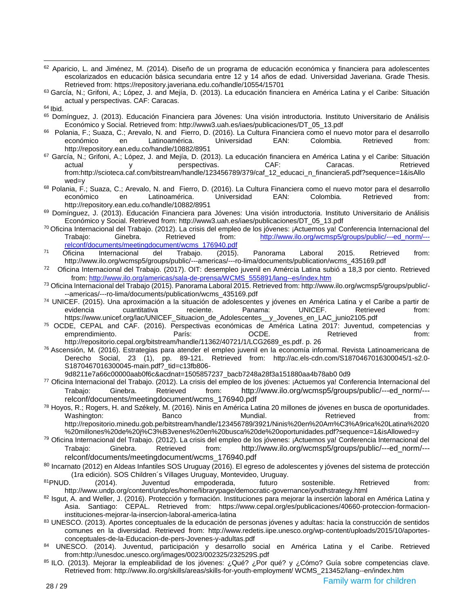- 62 Aparicio, L. and Jiménez, M. (2014). Diseño de un programa de educación económica y financiera para adolescentes escolarizados en educación básica secundaria entre 12 y 14 años de edad. Universidad Javeriana. Grade Thesis. Retrieved from[: https://repository.javeriana.edu.co/handle/10554/15701](https://repository.javeriana.edu.co/handle/10554/15701)
- 63 García, N.; Grifoni, A.; López, J. and Mejía, D. (2013). La educación financiera en América Latina y el Caribe: Situación actual y perspectivas. CAF: Caracas.

- <sup>65</sup> Domínguez, J. (2013). Educación Financiera para Jóvenes: Una visión introductoria. Instituto Universitario de Análisis Económico y Social. Retrieved from: [http://www3.uah.es/iaes/publicaciones/DT\\_05\\_13.pdf](http://www3.uah.es/iaes/publicaciones/DT_05_13.pdf)
- 66 Polania, F.; Suaza, C.; Arevalo, N. and Fierro, D. (2016). La Cultura Financiera como el nuevo motor para el desarrollo económico en Latinoamérica. Universidad EAN: Colombia. Retrieved from: <http://repository.ean.edu.co/handle/10882/8951>
- 67 García, N.; Grifoni, A.; López, J. and Mejía, D. (2013). La educación financiera en América Latina y el Caribe: Situación actual y perspectivas. CAF: Caracas. Retrieved from:http://scioteca.caf.com/bitstream/handle/123456789/379/caf\_12\_educaci\_n\_financiera5.pdf?sequence=1&isAllo wed=y
- <sup>68</sup> Polania, F.; Suaza, C.; Arevalo, N. and Fierro, D. (2016). La Cultura Financiera como el nuevo motor para el desarrollo<br>económico an latinoamérica. Universidad EAN: Colombia. Retrieved from: económico en Latinoamérica. Universidad EAN: Colombia. Retrieved from: <http://repository.ean.edu.co/handle/10882/8951>
- <sup>69</sup> Domínguez, J. (2013). Educación Financiera para Jóvenes: Una visión introductoria. Instituto Universitario de Análisis Económico y Social. Retrieved from: [http://www3.uah.es/iaes/publicaciones/DT\\_05\\_13.pdf](http://www3.uah.es/iaes/publicaciones/DT_05_13.pdf)
- <sup>70</sup> Oficina Internacional del Trabajo. (2012). La crisis del empleo de los jóvenes: ¡Actuemos ya! Conferencia Internacional del Trabajo: Ginebra. Retrieved from: [http://www.ilo.org/wcmsp5/groups/public/---ed\\_norm/--](http://www.ilo.org/wcmsp5/groups/public/---ed_norm/---relconf/documents/meetingdocument/wcms_176940.pdf) [relconf/documents/meetingdocument/wcms\\_176940.pdf](http://www.ilo.org/wcmsp5/groups/public/---ed_norm/---relconf/documents/meetingdocument/wcms_176940.pdf)
- <sup>71</sup> Oficina Internacional del Trabajo. (2015). Panorama Laboral 2015. Retrieved from: [http://www.ilo.org/wcmsp5/groups/public/---americas/---ro-lima/documents/publication/wcms\\_435169.pdf](http://www.ilo.org/wcmsp5/groups/public/---americas/---ro-lima/documents/publication/wcms_435169.pdf)
- <sup>72</sup> Oficina Internacional del Trabajo. (2017). OIT: desempleo juvenil en Amércia Latina subió a 18,3 por ciento. Retrieved from: [http://www.ilo.org/americas/sala-de-prensa/WCMS\\_555891/lang--es/index.htm](http://www.ilo.org/americas/sala-de-prensa/WCMS_555891/lang--es/index.htm)
- <sup>73</sup> Oficina Internacional del Trabajo (2015). Panorama Laboral 2015. Retrieved from[: http://www.ilo.org/wcmsp5/groups/public/-](http://www.ilo.org/wcmsp5/groups/public/---americas/---ro-lima/documents/publication/wcms_435169.pdf) [--americas/---ro-lima/documents/publication/wcms\\_435169.pdf](http://www.ilo.org/wcmsp5/groups/public/---americas/---ro-lima/documents/publication/wcms_435169.pdf)
- <sup>74</sup> UNICEF. (2015). Una aproximación a la situación de adolescentes y jóvenes en América Latina y el Caribe a partir de evidencia cuantitativa reciente. Panama: UNICEF. Retrieved from: [https://www.unicef.org/lac/UNICEF\\_Situacion\\_de\\_Adolescentes\\_\\_y\\_Jovenes\\_en\\_LAC\\_junio2105.pdf](https://www.unicef.org/lac/UNICEF_Situacion_de_Adolescentes__y_Jovenes_en_LAC_junio2105.pdf)
- <sup>75</sup> OCDE, CEPAL and CAF. (2016). Perspectivas económicas de América Latina 2017: Juventud, competencias y emprendimiento. París: OCDE. Retrieved from: [http://repositorio.cepal.org/bitstream/handle/11362/40721/1/LCG2689\\_es.pdf.](http://repositorio.cepal.org/bitstream/handle/11362/40721/1/LCG2689_es.pdf) p. 26
- <sup>76</sup> Ascensión, M. (2016). Estrategias para atender el empleo juvenil en la economía informal. Revista Latinoamericana de Derecho Social, 23 (1), pp. 89-121. Retrieved from: [http://ac.els-cdn.com/S1870467016300045/1-s2.0-](http://ac.els-cdn.com/S1870467016300045/1-s2.0-S1870467016300045-main.pdf?_tid=c13fb806-9d8211e7) [S1870467016300045-main.pdf?\\_tid=c13fb806-](http://ac.els-cdn.com/S1870467016300045/1-s2.0-S1870467016300045-main.pdf?_tid=c13fb806-9d8211e7)
- [9d8211e7a](http://ac.els-cdn.com/S1870467016300045/1-s2.0-S1870467016300045-main.pdf?_tid=c13fb806-9d8211e7)66c00000aab0f6c&acdnat=1505857237\_bacb7248a28f3a151880aa4b78ab0 0d9
- <sup>77</sup> Oficina Internacional del Trabajo. (2012). La crisis del empleo de los jóvenes: ¡Actuemos ya! Conferencia Internacional del Trabajo: Ginebra. Retrieved from: [http://www.ilo.org/wcmsp5/groups/public/---ed\\_norm/--](http://www.ilo.org/wcmsp5/groups/public/---ed_norm/---relconf/documents/meetingdocument/wcms_176940.pdf) [relconf/documents/meetingdocument/wcms\\_176940.pdf](http://www.ilo.org/wcmsp5/groups/public/---ed_norm/---relconf/documents/meetingdocument/wcms_176940.pdf)
- <sup>78</sup> Hoyos, R.; Rogers, H. and Székely, M. (2016). Ninis en América Latina 20 millones de jóvenes en busca de oportunidades.<br>Fetrieved banco Mundial. Retrieved From: Washington: Banco Mundial. Retrieved from: [http://repositorio.minedu.gob.pe/bitstream/handle/123456789/3921/Ninis%20en%20Am%C3%A9rica%20Latina%2020](http://repositorio.minedu.gob.pe/bitstream/handle/123456789/3921/Ninis%20en%20Am%C3%A9rica%20Latina%2020%20millones%20de%20j%C3%B3venes%20en%20busca%20de%20oportunidades.pdf?sequence=1&isAllowed=y) [%20millones%20de%20j%C3%B3venes%20en%20busca%20de%20oportunidades.pdf?sequence=1&isAllowed=y](http://repositorio.minedu.gob.pe/bitstream/handle/123456789/3921/Ninis%20en%20Am%C3%A9rica%20Latina%2020%20millones%20de%20j%C3%B3venes%20en%20busca%20de%20oportunidades.pdf?sequence=1&isAllowed=y)
- <sup>79</sup> Oficina Internacional del Trabajo. (2012). La crisis del empleo de los jóvenes: ¡Actuemos ya! Conferencia Internacional del Trabajo: Ginebra. Retrieved from: [http://www.ilo.org/wcmsp5/groups/public/---ed\\_norm/--](http://www.ilo.org/wcmsp5/groups/public/---ed_norm/---relconf/documents/meetingdocument/wcms_176940.pdf) [relconf/documents/meetingdocument/wcms\\_176940.pdf](http://www.ilo.org/wcmsp5/groups/public/---ed_norm/---relconf/documents/meetingdocument/wcms_176940.pdf)
- 80 Incarnato (2012) en Aldeas Infantiles SOS Uruguay (2016). El egreso de adolescentes y jóvenes del sistema de protección (1ra edición). SOS Children´s Villages Uruguay, Montevideo, Uruguay.
- <sup>81</sup>PNUD. (2014). Juventud empoderada, futuro sostenible. Retrieved from: http://www.undp.org/content/undp/es/home/librarypage/democratic-governance/youthstrategy.html
- 82 Isqut, A. and Weller, J. (2016). Protección y formación. Instituciones para mejorar la inserción laboral en América Latina y Asia. Santiago: CEPAL. Retrieved from: https://www.cepal.org/es/publicaciones/40660-proteccion-formacioninstituciones-mejorar-la-insercion-laboral-america-latina
- 83 UNESCO. (2013). Aportes conceptuales de la educación de personas jóvenes y adultas: hacia la construcción de sentidos comunes en la diversidad. Retrieved from: [http://www.redetis.iipe.unesco.org/wp-content/uploads/2015/10/aportes](http://www.redetis.iipe.unesco.org/wp-content/uploads/2015/10/aportes-conceptuales-de-la-Educacion-de-pers-Jovenes-y-adultas.pdf)[conceptuales-de-la-Educacion-de-pers-Jovenes-y-adultas.pdf](http://www.redetis.iipe.unesco.org/wp-content/uploads/2015/10/aportes-conceptuales-de-la-Educacion-de-pers-Jovenes-y-adultas.pdf)
- 84 UNESCO. (2014). Juventud, participación y desarrollo social en América Latina y el Caribe. Retrieved from:http://unesdoc.unesco.org/images/0023/002325/232529S.pdf
- <sup>85</sup> ILO. (2013). Mejorar la empleabilidad de los jóvenes: ¿Qué? ¿Por qué? y ¿Cómo? Guía sobre competencias clave. Retrieved from: http://www.ilo.org/skills/areas/skills-for-youth-employment/ WCMS\_213452/lang--en/index.htm

 $64$  Ibid.